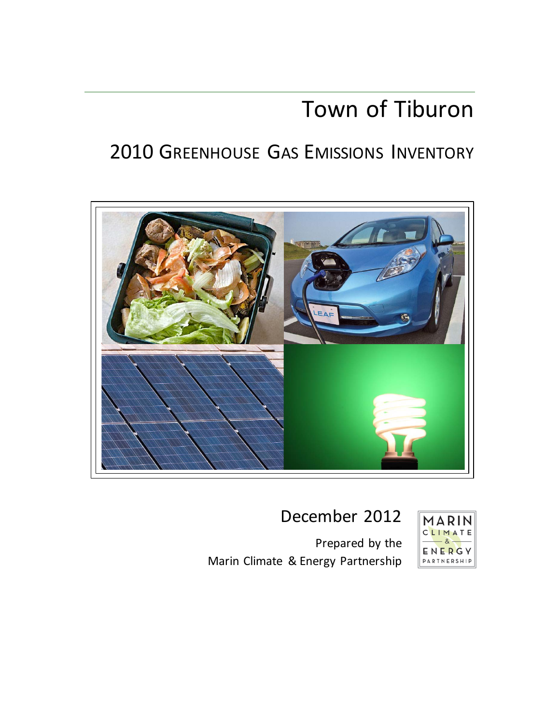# Town of Tiburon

# 2010 GREENHOUSE GAS EMISSIONS INVENTORY



## December 2012

Prepared by the Marin Climate & Energy Partnership

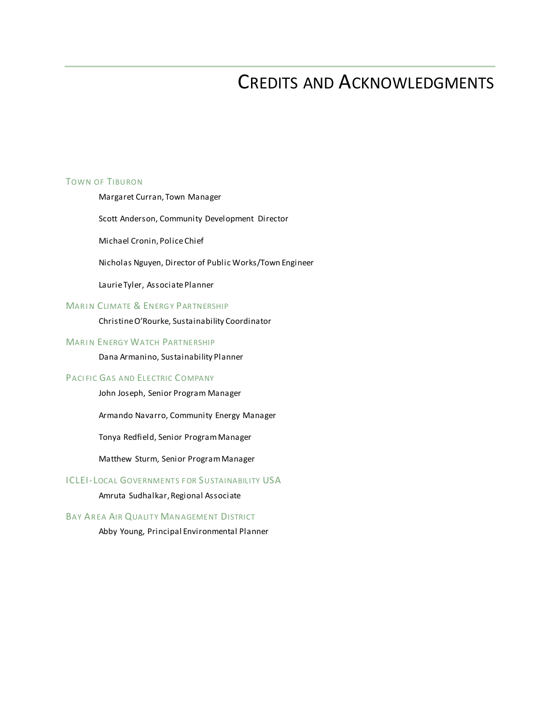## CREDITS AND ACKNOWLEDGMENTS

#### TOWN OF TIBURON

Margaret Curran, Town Manager

Scott Anderson, Community Development Director

Michael Cronin, Police Chief

Nicholas Nguyen, Director of Public Works/Town Engineer

Laurie Tyler, Associate Planner

#### **MARIN CLIMATE & ENERGY PARTNERSHIP**

Christine O'Rourke, Sustainability Coordinator

#### MARIN ENERGY WATCH PARTNERSHIP

Dana Armanino, Sustainability Planner

#### PACI FIC GAS AND ELECTRIC COMPANY

John Joseph, Senior Program Manager

Armando Navarro, Community Energy Manager

Tonya Redfield, Senior Program Manager

Matthew Sturm, Senior Program Manager

#### **ICLEI-LOCAL GOVERNMENTS FOR SUSTAINABILITY USA**

Amruta Sudhalkar, Regional Associate

#### BAY AREA AIR QUALITY MANAGEMENT DISTRICT

Abby Young, Principal Environmental Planner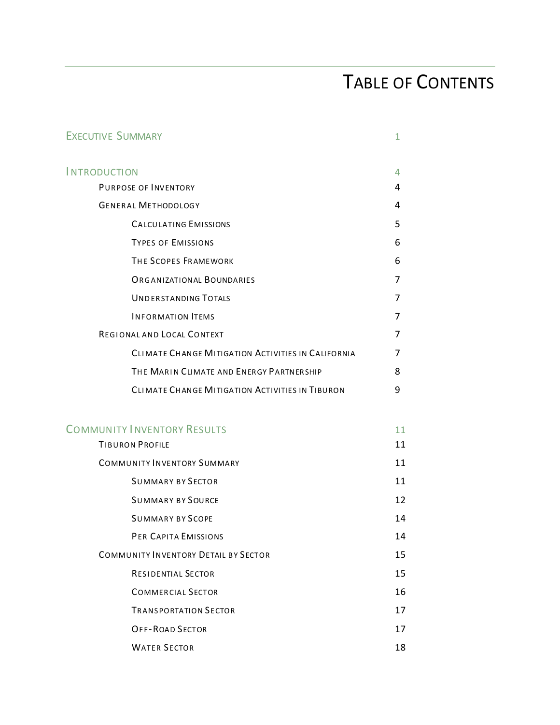# TABLE OF CONTENTS

| <b>EXECUTIVE SUMMARY</b>                           | 1              |
|----------------------------------------------------|----------------|
| <b>INTRODUCTION</b>                                | 4              |
| PURPOSE OF INVENTORY                               | 4              |
| <b>GENERAL METHODOLOGY</b>                         | 4              |
| <b>CALCULATING EMISSIONS</b>                       | 5              |
| <b>TYPES OF EMISSIONS</b>                          | 6              |
| THE SCOPES FRAMEWORK                               | 6              |
| <b>ORGANIZATIONAL BOUNDARIES</b>                   | 7              |
| <b>UNDERSTANDING TOTALS</b>                        | 7              |
| <b>INFORMATION ITEMS</b>                           | $\overline{7}$ |
| REGIONAL AND LOCAL CONTEXT                         | 7              |
| CLIMATE CHANGE MITIGATION ACTIVITIES IN CALIFORNIA | 7              |
| THE MARIN CLIMATE AND ENERGY PARTNERSHIP           | 8              |
| CLIMATE CHANGE MITIGATION ACTIVITIES IN TIBURON    | 9              |
| <b>COMMUNITY INVENTORY RESULTS</b>                 | 11             |
| <b>TIBURON PROFILE</b>                             | 11             |
| <b>COMMUNITY INVENTORY SUMMARY</b>                 | 11             |
| <b>SUMMARY BY SECTOR</b>                           | 11             |
| <b>SUMMARY BY SOURCE</b>                           | 12             |
| <b>SUMMARY BY SCOPE</b>                            | 14             |
| PER CAPITA EMISSIONS                               | 14             |
| <b>COMMUNITY INVENTORY DETAIL BY SECTOR</b>        | 15             |
| <b>RESIDENTIAL SECTOR</b>                          | 15             |
| <b>COMMERCIAL SECTOR</b>                           | 16             |
| <b>TRANSPORTATION SECTOR</b>                       | 17             |
| <b>OFF-ROAD SECTOR</b>                             | 17             |
| <b>WATER SECTOR</b>                                | 18             |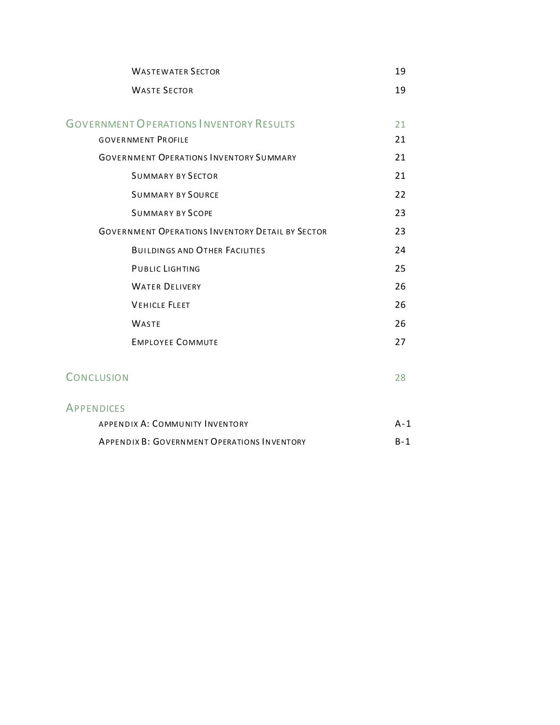| <b>WASTEWATER SECTOR</b>                                | 19    |
|---------------------------------------------------------|-------|
| <b>WASTE SECTOR</b>                                     | 19    |
| <b>GOVERNMENT OPERATIONS INVENTORY RESULTS</b>          | 21    |
| <b>GOVERNMENT PROFILE</b>                               | 21    |
| <b>GOVERNMENT OPERATIONS INVENTORY SUMMARY</b>          | 21    |
| <b>SUMMARY BY SECTOR</b>                                | 21    |
| <b>SUMMARY BY SOURCE</b>                                | 22    |
| <b>SUMMARY BY SCOPE</b>                                 | 23    |
| <b>GOVERNMENT OPERATIONS INVENTORY DETAIL BY SECTOR</b> | 23    |
| <b>BUILDINGS AND OTHER FACILITIES</b>                   | 24    |
| <b>PUBLIC LIGHTING</b>                                  | 25    |
| <b>WATER DELIVERY</b>                                   | 26    |
| <b>VEHICLE FLEET</b>                                    | 26    |
| <b>WASTE</b>                                            | 26    |
| <b>EMPLOYEE COMMUTE</b>                                 | 27    |
| <b>CONCLUSION</b>                                       | 28    |
| <b>APPENDICES</b>                                       |       |
| APPENDIX A: COMMUNITY INVENTORY                         | $A-1$ |
| <b>APPENDIX B: GOVERNMENT OPERATIONS INVENTORY</b>      | $B-1$ |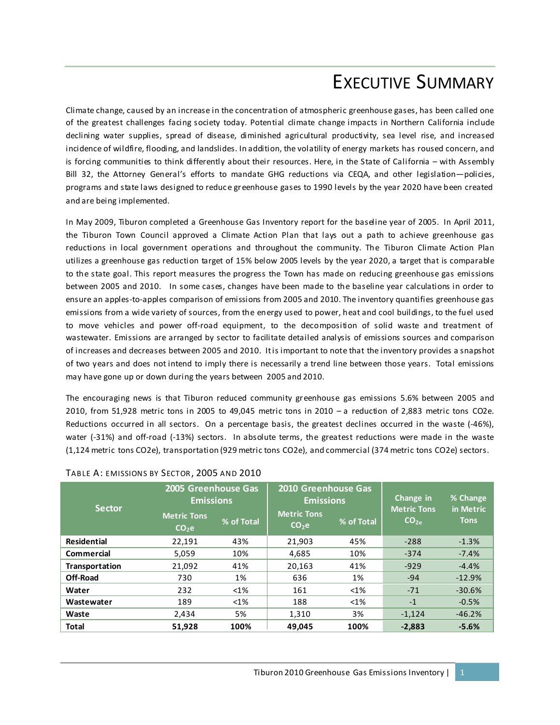## EXECUTIVE SUMMARY

Climate change, caused by an increase in the concentration of atmospheric greenhouse gases, has been called one of the greatest challenges facing society today. Potential climate change impacts in Northern California include declining water supplies, spread of disease, diminished agricultural productivity, sea level rise, and increased incidence of wildfire, flooding, and landslides. In addition, the volatility of energy markets has roused concern, and is forcing communities to think differently about their resources. Here, in the State of California – with Assembly Bill 32, the Attorney General's efforts to mandate GHG reductions via CEQA, and other legislation—policies, programs and state laws designed to reduc e gr eenhouse gases to 1990 levels by the year 2020 have been created and are being implemented.

In May 2009, Tiburon completed a Greenhouse Gas Inventory report for the baseline year of 2005. In April 2011, the Tiburon Town Council approved a Climate Action Plan that lays out a path to achieve greenhouse gas reductions in local government operations and throughout the community. The Tiburon Climate Action Plan utilizes a greenhouse gas reduction target of 15% below 2005 levels by the year 2020, a target that is comparable to the state goal. This report measures the progress the Town has made on reducing greenhouse gas emissions between 2005 and 2010. In some cases, changes have been made to the baseline year calculations in order to ensure an apples-to-apples comparison of emissions from 2005 and 2010. The inventory quantifies greenhouse gas emissions from a wide variety of sources, from the energy used to power, heat and cool buildings, to the fuel used to move vehicles and power off-road equipment, to the decomposition of solid waste and treatment of wastewater. Emissions are arranged by sector to facilitate detailed analysis of emissions sources and comparison of increases and decreases between 2005 and 2010. It is important to note that the inventory provides a snapshot of two years and does not intend to imply there is necessarily a trend line between those years. Total emissions may have gone up or down during the years between 2005 and 2010.

The encouraging news is that Tiburon reduced community greenhouse gas emissions 5.6% between 2005 and 2010, from 51,928 metric tons in 2005 to 49,045 metric tons in 2010 – a reduction of 2,883 metric tons CO2e. Reductions occurred in all sectors. On a percentage basis, the greatest declines occurred in the waste (-46%), water (-31%) and off-road (-13%) sectors. In absolute terms, the greatest reductions were made in the waste (1,124 metric tons CO2e), transportation (929 metric tons CO2e), and commercial (374 metric tons CO2e) sectors.

| <b>Sector</b>      | 2005 Greenhouse Gas<br><b>Emissions</b> |            | 2010 Greenhouse Gas<br><b>Emissions</b>               |         | Change in<br><b>Metric Tons</b> | % Change<br>in Metric |
|--------------------|-----------------------------------------|------------|-------------------------------------------------------|---------|---------------------------------|-----------------------|
|                    | <b>Metric Tons</b><br>CO <sub>2</sub> e | % of Total | <b>Metric Tons</b><br>% of Total<br>CO <sub>2</sub> e |         | CO <sub>2</sub>                 | <b>Tons</b>           |
| <b>Residential</b> | 22,191                                  | 43%        | 21.903                                                | 45%     | $-288$                          | $-1.3%$               |
| <b>Commercial</b>  | 5.059                                   | 10%        | 4,685                                                 | 10%     | $-374$                          | $-7.4%$               |
| Transportation     | 21,092                                  | 41%        | 20,163                                                | 41%     | $-929$                          | $-4.4%$               |
| Off-Road           | 730                                     | 1%         | 636                                                   | 1%      | $-94$                           | $-12.9%$              |
| Water              | 232                                     | $< 1\%$    | 161                                                   | $< 1\%$ | $-71$                           | $-30.6%$              |
| Wastewater         | 189                                     | $< 1\%$    | 188                                                   | $< 1\%$ | $-1$                            | $-0.5%$               |
| Waste              | 2,434                                   | 5%         | 1,310                                                 | 3%      | $-1,124$                        | $-46.2%$              |
| <b>Total</b>       | 51,928                                  | 100%       | 49.045                                                | 100%    | $-2,883$                        | $-5.6%$               |

#### TABLE A: EMISSIONS BY SECTOR, 2005 AND 2010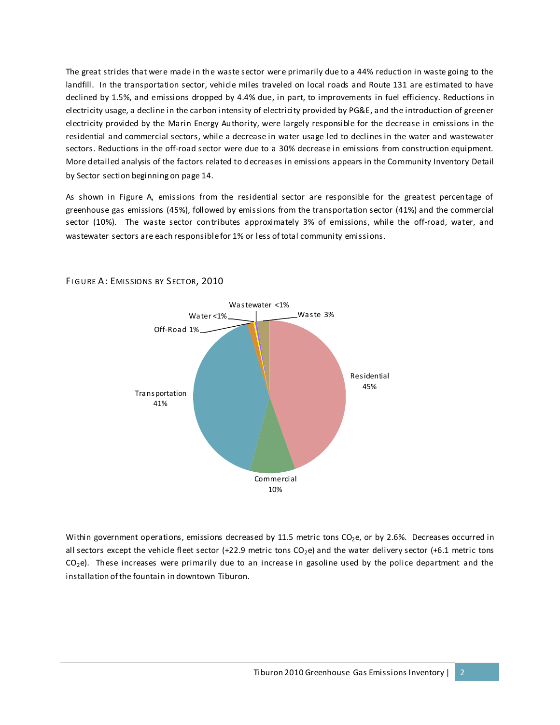The great strides that were made in the waste sector were primarily due to a 44% reduction in waste going to the landfill. In the transportation sector, vehicle miles traveled on local roads and Route 131 are estimated to have declined by 1.5%, and emissions dropped by 4.4% due, in part, to improvements in fuel efficiency. Reductions in electricity usage, a decline in the carbon intensity of electricity provided by PG&E, and the introduction of greener electricity provided by the Marin Energy Authority, were largely responsible for the decrease in emissions in the residential and commercial sectors, while a decrease in water usage led to declines in the water and wastewater sectors. Reductions in the off-road sector were due to a 30% decrease in emissions from construction equipment. More detailed analysis of the factors related to decreases in emissions appears in the Community Inventory Detail by Sector section beginning on page 14.

As shown in Figure A, emissions from the residential sector are responsible for the greatest percentage of greenhouse gas emissions (45%), followed by emissions from the transportation sector (41%) and the commercial sector (10%). The waste sector contributes approximately 3% of emissions, while the off-road, water, and wastewater sectors are each responsible for 1% or less of total community emissions.



FIGURE A: EMISSIONS BY SECTOR, 2010

Within government operations, emissions decreased by 11.5 metric tons CO<sub>2</sub>e, or by 2.6%. Decreases occurred in all sectors except the vehicle fleet sector (+22.9 metric tons  $CO<sub>2</sub>e$ ) and the water delivery sector (+6.1 metric tons  $CO<sub>2</sub>e$ ). These increases were primarily due to an increase in gasoline used by the police department and the installation of the fountain in downtown Tiburon.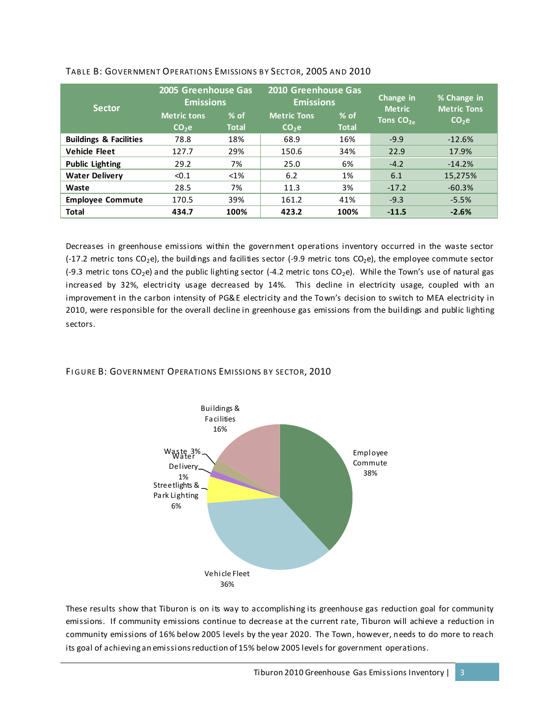| <b>Sector</b>                     | 2005 Greenhouse Gas<br><b>Emissions</b> |                        | 2010 Greenhouse Gas<br><b>Emissions</b> |                        | Change in<br><b>Metric</b> | % Change in<br>Metric Tons |
|-----------------------------------|-----------------------------------------|------------------------|-----------------------------------------|------------------------|----------------------------|----------------------------|
|                                   | <b>Metric tons</b><br>CO <sub>2</sub> e | $%$ of<br><b>Total</b> | <b>Metric Tons</b><br>CO <sub>2</sub> e | $%$ of<br><b>Total</b> | Tons $CO2a$                | CO <sub>2</sub> e          |
| <b>Buildings &amp; Facilities</b> | 78.8                                    | 18%                    | 68.9                                    | 16%                    | $-9.9$                     | $-12.6%$                   |
| <b>Vehicle Fleet</b>              | 127.7                                   | 29%                    | 150.6                                   | 34%                    | 22.9                       | 17.9%                      |
| <b>Public Lighting</b>            | 29.2                                    | 7%                     | 25.0                                    | 6%                     | $-4.2$                     | $-14.2%$                   |
| <b>Water Delivery</b>             | < 0.1                                   | $< 1\%$                | 6.2                                     | 1%                     | 6.1                        | 15,275%                    |
| Waste                             | 28.5                                    | 7%                     | 11.3                                    | 3%                     | $-17.2$                    | $-60.3%$                   |
| <b>Employee Commute</b>           | 170.5                                   | 39%                    | 161.2                                   | 41%                    | $-9.3$                     | $-5.5%$                    |
| <b>Total</b>                      | 434.7                                   | 100%                   | 423.2                                   | 100%                   | $-11.5$                    | $-2.6%$                    |

#### TABLE B: GOVERNMENT OPERATIONS EMISSIONS BY SECTOR, 2005 AND 2010

Decreases in greenhouse emissions within the government operations inventory occurred in the waste sector (-17.2 metric tons CO<sub>2</sub>e), the buildings and facilities sector (-9.9 metric tons CO<sub>2</sub>e), the employee commute sector (-9.3 metric tons CO<sub>2</sub>e) and the public lighting sector (-4.2 metric tons CO<sub>2</sub>e). While the Town's use of natural gas increased by 32%, electricity usage decreased by 14%. This decline in electricity usage, coupled with an improvement in the carbon intensity of PG&E electricity and the Town's decision to switch to MEA electricity in 2010, were responsible for the overall decline in greenhouse gas emissions from the buildings and public lighting sectors.

#### FI GURE B: GOVERNMENT OPERATIONS EMISSIONS BY SECTOR, 2010



These results show that Tiburon is on its way to accomplishing its greenhouse gas reduction goal for community emissions. If community emissions continue to decrease at the current rate, Tiburon will achieve a reduction in community emissions of 16% below 2005 levels by the year 2020. The Town, however, needs to do more to reach its goal of achieving an emissions reduction of 15% below 2005 levels for government operations.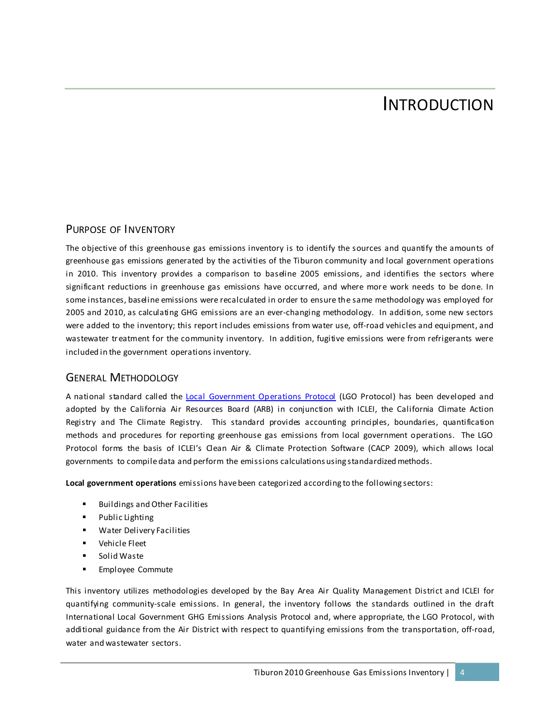## INTRODUCTION

#### PURPOSE OF INVENTORY

The objective of this greenhouse gas emissions inventory is to identify the sources and quantify the amounts of greenhouse gas emissions generated by the activities of the Tiburon community and local government operations in 2010. This inventory provides a comparison to baseline 2005 emissions, and identifies the sectors where significant reductions in greenhouse gas emissions have occurred, and where more work needs to be done. In some instances, baseline emissions were recalculated in order to ensure the same methodology was employed for 2005 and 2010, as calculating GHG emissions are an ever-changing methodology. In addition, some new sectors were added to the inventory; this report includes emissions from water use, off-road vehicles and equipment, and wastewater treatment for the community inventory. In addition, fugitive emissions were from refrigerants were included in the government operations inventory.

#### GENERAL METHODOLOGY

A national standard called the [Local Government Operations Protocol](http://www.arb.ca.gov/cc/protocols/localgov/pubs/lgo_protocol_v1_1_2010-05-03.pdf) (LGO Protocol) has been developed and adopted by the California Air Resources Board (ARB) in conjunction with ICLEI, the California Climate Action Registry and The Climate Registry. This standard provides accounting principles, boundaries, quantification methods and procedures for reporting greenhouse gas emissions from local government operations. The LGO Protocol forms the basis of ICLEI's Clean Air & Climate Protection Software (CACP 2009), which allows local governments to compile data and perform the emissions calculations using standardized methods.

**Local government operations** emissions have been categorized according to the following sectors:

- Buildings and Other Facilities
- Public Lighting
- **Water Delivery Facilities**
- **•** Vehicle Fleet
- Solid Waste
- **Employee Commute**

This inventory utilizes methodologies developed by the Bay Area Air Quality Management District and ICLEI for quantifying community-scale emissions. In general, the inventory follows the standards outlined in the draft International Local Government GHG Emissions Analysis Protocol and, where appropriate, the LGO Protocol, with additional guidance from the Air District with respect to quantifying emissions from the transportation, off-road, water and wastewater sectors.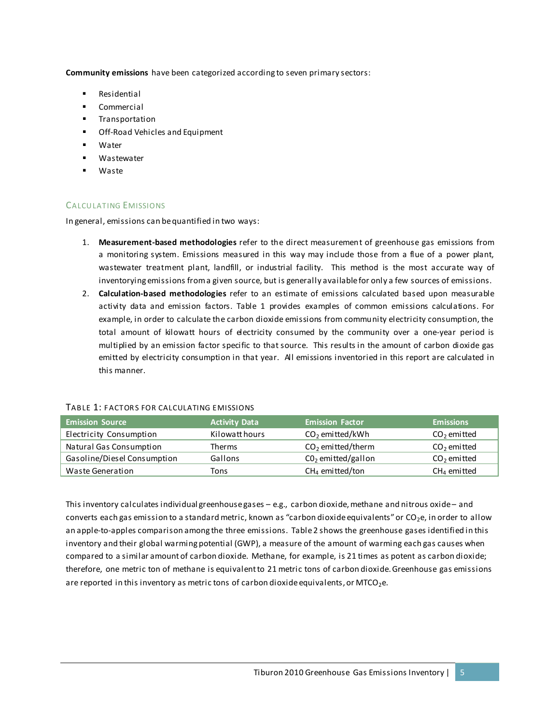**Community emissions** have been categorized according to seven primary sectors:

- Residential
- Commercial
- Transportation
- **Off-Road Vehicles and Equipment**
- Water
- Wastewater
- Waste

#### CALCULATING EMISSIONS

In general, emissions can be quantified in two ways:

- 1. **Measurement-based methodologies** refer to the direct measurement of greenhouse gas emissions from a monitoring system. Emissions measured in this way may include those from a flue of a power plant, wastewater treatment plant, landfill, or industrial facility. This method is the most accurate way of inventorying emissions from a given source, but is generally available for only a few sources of emissions.
- 2. **Calculation-based methodologies** refer to an estimate of emissions calculated based upon measurable activity data and emission factors. Table 1 provides examples of common emissions calculations. For example, in order to calculate the carbon dioxide emissions from community electricity consumption, the total amount of kilowatt hours of electricity consumed by the community over a one-year period is multiplied by an emission factor specific to that source. This results in the amount of carbon dioxide gas emitted by electricity consumption in that year. All emissions inventoried in this report are calculated in this manner.

| <b>Emission Source</b>      | <b>Activity Data</b> | <b>Emission Factor</b> | <b>Emissions</b> |
|-----------------------------|----------------------|------------------------|------------------|
| Electricity Consumption     | Kilowatt hours       | $CO2$ emitted/kWh      | $CO2$ emitted    |
| Natural Gas Consumption     | <b>Therms</b>        | $CO2$ emitted/therm    | $CO2$ emitted    |
| Gasoline/Diesel Consumption | Gallons              | $CO2$ emitted/gallon   | $CO2$ emitted    |
| Waste Generation            | Tons                 | $CH4$ emitted/ton      | $CH4$ emitted    |

#### TABLE 1: FACTORS FOR CALCULATING EMISSIONS

This inventory calculates individual greenhouse gases – e.g., carbon dioxide, methane and nitrous oxide – and converts each gas emission to a standard metric, known as "carbon dioxide equivalents" or  $CO<sub>2</sub>e$ , in order to allow an apple-to-apples comparison among the three emissions. Table 2 shows the greenhouse gases identified in this inventory and their global warming potential (GWP), a measure of the amount of warming each gas causes when compared to a similar amount of carbon dioxide. Methane, for example, is 21 times as potent as carbon dioxide; therefore, one metric ton of methane is equivalent to 21 metric tons of carbon dioxide. Greenhouse gas emissions are reported in this inventory as metric tons of carbon dioxide equivalents, or MTCO<sub>2</sub>e.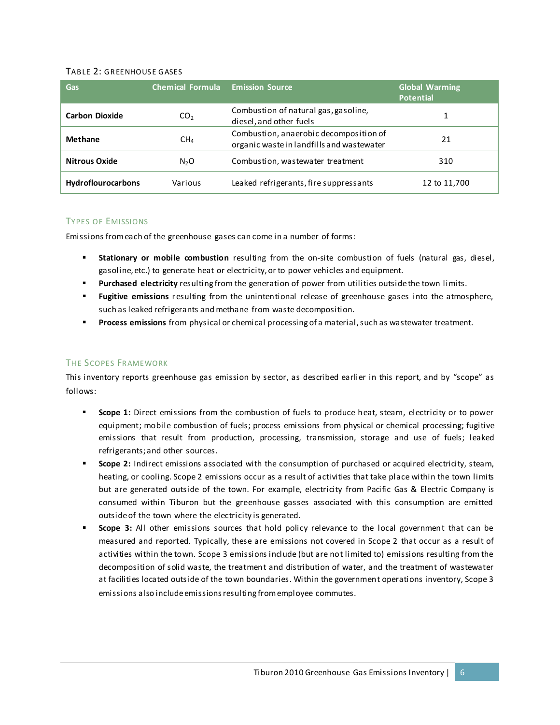#### TABLE 2: GREENHOUSE GASES

| Gas                       | <b>Chemical Formula</b> | <b>Emission Source</b>                                                              | <b>Global Warming</b><br><b>Potential</b> |
|---------------------------|-------------------------|-------------------------------------------------------------------------------------|-------------------------------------------|
| <b>Carbon Dioxide</b>     | CO <sub>2</sub>         | Combustion of natural gas, gasoline,<br>diesel, and other fuels                     |                                           |
| Methane                   | CH <sub>4</sub>         | Combustion, anaerobic decomposition of<br>organic waste in landfills and wastewater | 21                                        |
| <b>Nitrous Oxide</b>      | N <sub>2</sub> O        | Combustion, was tewater treatment                                                   | 310                                       |
| <b>Hydroflourocarbons</b> | Various                 | Leaked refrigerants, fire suppressants                                              | 12 to 11,700                              |

#### TYPES OF EMISSIONS

Emissions from each of the greenhouse gases can come in a number of forms:

- **Stationary or mobile combustion** resulting from the on-site combustion of fuels (natural gas, diesel, gasoline, etc.) to generate heat or electricity, or to power vehicles and equipment.
- **Purchased electricity** resulting from the generation of power from utilities outside the town limits.
- **Fugitive emissions** resulting from the unintentional release of greenhouse gases into the atmosphere, such as leaked refrigerants and methane from waste decomposition.
- **Process emissions** from physical or chemical processing of a material, such as wastewater treatment.

#### THE SCOPES FRAMEWORK

This inventory reports greenhouse gas emission by sector, as described earlier in this report, and by "scope" as follows:

- **Scope 1:** Direct emissions from the combustion of fuels to produce heat, steam, electricity or to power equipment; mobile combustion of fuels; process emissions from physical or chemical processing; fugitive emissions that result from production, processing, transmission, storage and use of fuels; leaked refrigerants; and other sources.
- **Scope 2:** Indirect emissions associated with the consumption of purchased or acquired electricity, steam, heating, or cooling. Scope 2 emissions occur as a result of activities that take place within the town limits but are generated outside of the town. For example, electricity from Pacific Gas & Electric Company is consumed within Tiburon but the greenhouse gasses associated with this consumption are emitted outside of the town where the electricity is generated.
- **Scope 3:** All other emissions sources that hold policy relevance to the local government that can be measured and reported. Typically, these are emissions not covered in Scope 2 that occur as a result of activities within the town. Scope 3 emissions include (but are not limited to) emissions resulting from the decomposition of solid waste, the treatment and distribution of water, and the treatment of wastewater at facilities located outside of the town boundaries. Within the government operations inventory, Scope 3 emissions also include emissions resulting from employee commutes.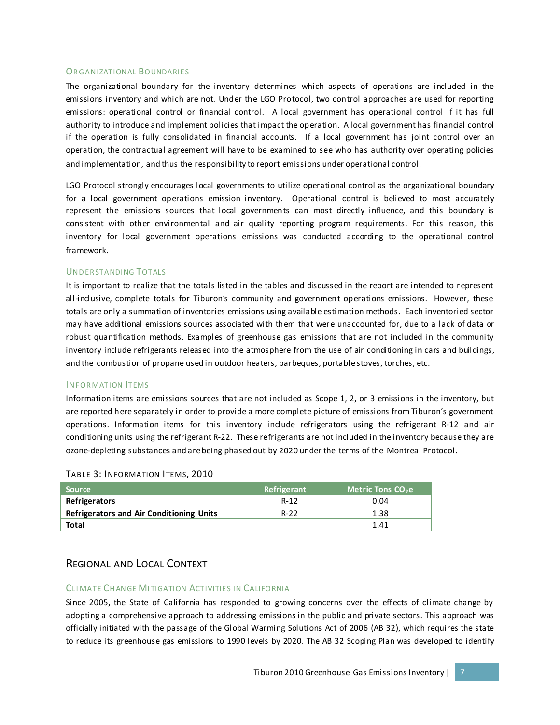#### **ORGANIZATIONAL BOUNDARIES**

The organizational boundary for the inventory determines which aspects of operations are included in the emissions inventory and which are not. Under the LGO Protocol, two control approaches are used for reporting emissions: operational control or financial control. A local government has operational control if it has full authority to introduce and implement policies that impact the operation. A local government has financial control if the operation is fully consolidated in financial accounts. If a local government has joint control over an operation, the contractual agreement will have to be examined to see who has authority over operating policies and implementation, and thus the responsibility to report emissions under operational control.

LGO Protocol strongly encourages local governments to utilize operational control as the organizational boundary for a local government operations emission inventory. Operational control is believed to most accurately represent the emissions sources that local governments can most directly influence, and this boundary is consistent with other environmental and air quality reporting program requirements. For this reason, this inventory for local government operations emissions was conducted according to the operational control framework.

#### UNDERSTANDING TOTALS

It is important to realize that the totals listed in the tables and discussed in the report are intended to represent all-inclusive, complete totals for Tiburon's community and government operations emissions. However, these totals are only a summation of inventories emissions using available estimation methods. Each inventoried sector may have additional emissions sources associated with them that were unaccounted for, due to a lack of data or robust quantification methods. Examples of greenhouse gas emissions that are not included in the community inventory include refrigerants released into the atmosphere from the use of air conditioning in cars and buildings, and the combustion of propane used in outdoor heaters, barbeques, portable stoves, torches, etc.

#### INFORMATION **ITEMS**

Information items are emissions sources that are not included as Scope 1, 2, or 3 emissions in the inventory, but are reported here separately in order to provide a more complete picture of emissions from Tiburon's government operations. Information items for this inventory include refrigerators using the refrigerant R-12 and air conditioning units using the refrigerant R-22. These refrigerants are not included in the inventory because they are ozone-depleting substances and are being phased out by 2020 under the terms of the Montreal Protocol.

| <b>Source</b>                                   | Refrigerant | <b>Metric Tons CO<sub>2</sub>e</b> |
|-------------------------------------------------|-------------|------------------------------------|
| Refrigerators                                   | R-12        | 0.04                               |
| <b>Refrigerators and Air Conditioning Units</b> | $R-22$      | 1.38                               |
| Total                                           |             | 1.41                               |

#### TABLE 3: INFORMATION ITEMS, 2010

#### REGIONAL AND LOCAL CONTEXT

#### CLI MATE CH ANGE MI TIGATION ACTIVITIES IN CALIFORNIA

Since 2005, the State of California has responded to growing concerns over the effects of climate change by adopting a comprehensive approach to addressing emissions in the public and private sectors. This approach was officially initiated with the passage of the Global Warming Solutions Act of 2006 (AB 32), which requires the state to reduce its greenhouse gas emissions to 1990 levels by 2020. The AB 32 Scoping Plan was developed to identify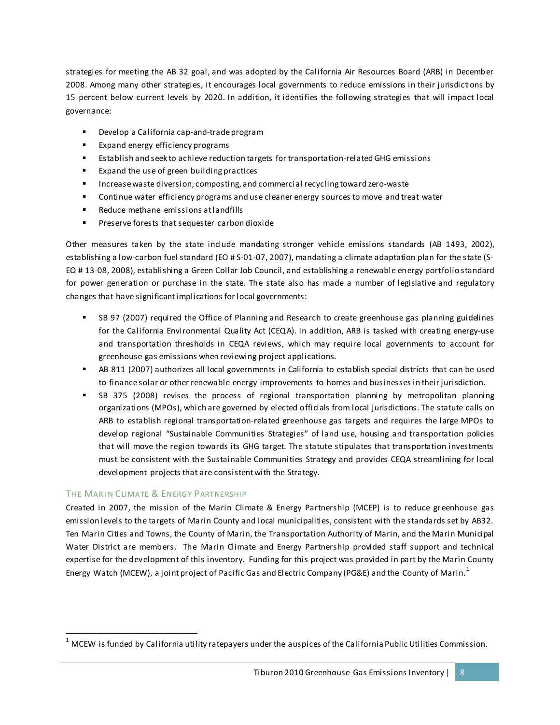strategies for meeting the AB 32 goal, and was adopted by the California Air Resources Board (ARB) in December 2008. Among many other strategies, it encourages local governments to reduce emissions in their jurisdictions by 15 percent below current levels by 2020. In addition, it identifies the following strategies that will impact local governance:

- Develop a California cap-and-trade program
- Expand energy efficiency programs
- Establish and seek to achieve reduction targets for transportation-related GHG emissions
- **Expand the use of green building practices**
- Increase waste diversion, composting, and commercial recycling toward zero-waste
- **Continue water efficiency programs and use cleaner energy sources to move and treat water**
- **Reduce methane emissions at landfills**
- **Preserve forests that sequester carbon dioxide**

Other measures taken by the state include mandating stronger vehicle emissions standards (AB 1493, 2002), establishing a low-carbon fuel standard (EO # S-01-07, 2007), mandating a climate adaptation plan for the state (S-EO # 13-08, 2008), establishing a Green Collar Job Council, and establishing a renewable energy portfolio standard for power generation or purchase in the state. The state also has made a number of legislative and regulatory changes that have significant implications for local governments:

- SB 97 (2007) required the Office of Planning and Research to create greenhouse gas planning guidelines for the California Environmental Quality Act (CEQA). In addition, ARB is tasked with creating energy-use and transportation thresholds in CEQA reviews, which may require local governments to account for greenhouse gas emissions when reviewing project applications.
- AB 811 (2007) authorizes all local governments in California to establish special districts that can be used to finance solar or other renewable energy improvements to homes and businesses in their jurisdiction.
- SB 375 (2008) revises the process of regional transportation planning by metropolitan planning organizations (MPOs), which are governed by elected officials from local jurisdictions. The statute calls on ARB to establish regional transportation-related greenhouse gas targets and requires the large MPOs to develop regional "Sustainable Communities Strategies" of land use, housing and transportation policies that will move the region towards its GHG target. The statute stipulates that transportation investments must be consistent with the Sustainable Communities Strategy and provides CEQA streamlining for local development projects that are consistent with the Strategy.

#### THE MARIN CLIMATE & ENERGY PARTNERSHIP

Created in 2007, the mission of the Marin Climate & Energy Partnership (MCEP) is to reduce greenhouse gas emission levels to the targets of Marin County and local municipalities, consistent with the standards set by AB32. Ten Marin Cities and Towns, the County of Marin, the Transportation Authority of Marin, and the Marin Municipal Water District are members. The Marin Climate and Energy Partnership provided staff support and technical expertise for the development of this inventory. Funding for this project was provided in part by the Marin County Energy Watch (MCEW), a joint project of Pacific Gas and Electric Company (PG&E) and the County of Marin.<sup>[1](#page-11-0)</sup>

<span id="page-11-0"></span> $1$  MCEW is funded by California utility ratepayers under the auspices of the California Public Utilities Commission.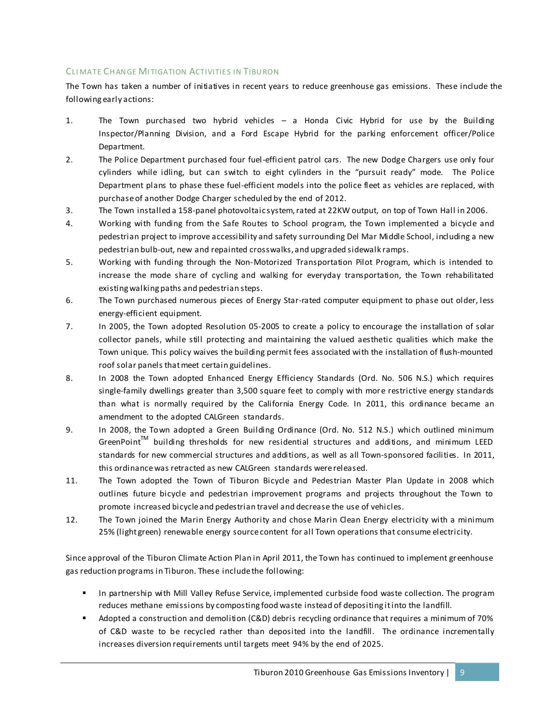#### CLI MATE CH ANGE MI TIGATION ACTIVITIES IN TIBURON

The Town has taken a number of initiatives in recent years to reduce greenhouse gas emissions. These include the following early actions:

- 1. The Town purchased two hybrid vehicles a Honda Civic Hybrid for use by the Building Inspector/Planning Division, and a Ford Escape Hybrid for the parking enforcement officer/Police Department.
- 2. The Police Department purchased four fuel-efficient patrol cars. The new Dodge Chargers use only four cylinders while idling, but can switch to eight cylinders in the "pursuit ready" mode. The Police Department plans to phase these fuel-efficient models into the police fleet as vehicles are replaced, with purchase of another Dodge Charger scheduled by the end of 2012.
- 3. The Town installed a 158-panel photovoltaic system, rated at 22KW output, on top of Town Hall in 2006.
- 4. Working with funding from the Safe Routes to School program, the Town implemented a bicycle and pedestrian project to improve accessibility and safety surrounding Del Mar Middle School, including a new pedestrian bulb-out, new and repainted crosswalks, and upgraded sidewalk ramps.
- 5. Working with funding through the Non-Motorized Transportation Pilot Program, which is intended to increase the mode share of cycling and walking for everyday transportation, the Town rehabilitated existing walking paths and pedestrian steps.
- 6. The Town purchased numerous pieces of Energy Star-rated computer equipment to phase out older, less energy-efficient equipment.
- 7. In 2005, the Town adopted Resolution 05-2005 to create a policy to encourage the installation of solar collector panels, while still protecting and maintaining the valued aesthetic qualities which make the Town unique. This policy waives the building permit fees associated with the installation of flush-mounted roof solar panels that meet certain guidelines.
- 8. In 2008 the Town adopted Enhanced Energy Efficiency Standards (Ord. No. 506 N.S.) which requires single-family dwellings greater than 3,500 square feet to comply with more restrictive energy standards than what is normally required by the California Energy Code. In 2011, this ordinance became an amendment to the adopted CALGreen standards.
- 9. In 2008, the Town adopted a Green Building Ordinance (Ord. No. 512 N.S.) which outlined minimum  $G$ reenPoint<sup>TM</sup> building thresholds for new residential structures and additions, and minimum LEED standards for new commercial structures and additions, as well as all Town-sponsored facilities. In 2011, this ordinance was retracted as new CALGreen standards were released.
- 11. The Town adopted the Town of Tiburon Bicycle and Pedestrian Master Plan Update in 2008 which outlines future bicycle and pedestrian improvement programs and projects throughout the Town to promote increased bicycle and pedestrian travel and decrease the use of vehicles.
- 12. The Town joined the Marin Energy Authority and chose Marin Clean Energy electricity with a minimum 25% (light green) renewable energy source content for all Town operations that consume electricity.

Since approval of the Tiburon Climate Action Plan in April 2011, the Town has continued to implement greenhouse gas reduction programs in Tiburon. These include the following:

- **In partnership with Mill Valley Refuse Service, implemented curbside food waste collection. The program** reduces methane emissions by composting food waste instead of depositing it into the landfill.
- Adopted a construction and demolition (C&D) debris recycling ordinance that requires a minimum of 70% of C&D waste to be recycled rather than deposited into the landfill. The ordinance incrementally increases diversion requirements until targets meet 94% by the end of 2025.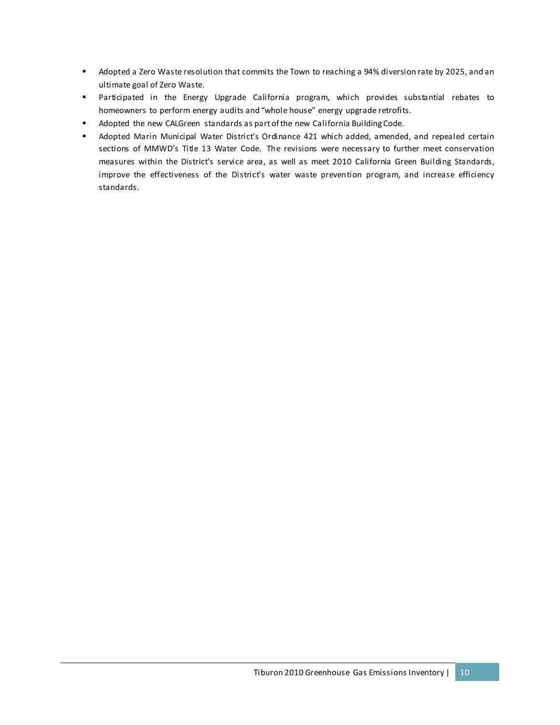- Adopted a Zero Waste resolution that commits the Town to reaching a 94% diversion rate by 2025, and an ultimate goal of Zero Waste.
- Participated in the Energy Upgrade California program, which provides substantial rebates to homeowners to perform energy audits and "whole house" energy upgrade retrofits.
- **Adopted the new CALGreen standards as part of the new California Building Code.**
- Adopted Marin Municipal Water District's Ordinance 421 which added, amended, and repealed certain sections of MMWD's Title 13 Water Code. The revisions were necessary to further meet conservation measures within the District's service area, as well as meet 2010 California Green Building Standards, improve the effectiveness of the District's water waste prevention program, and increase efficiency standards.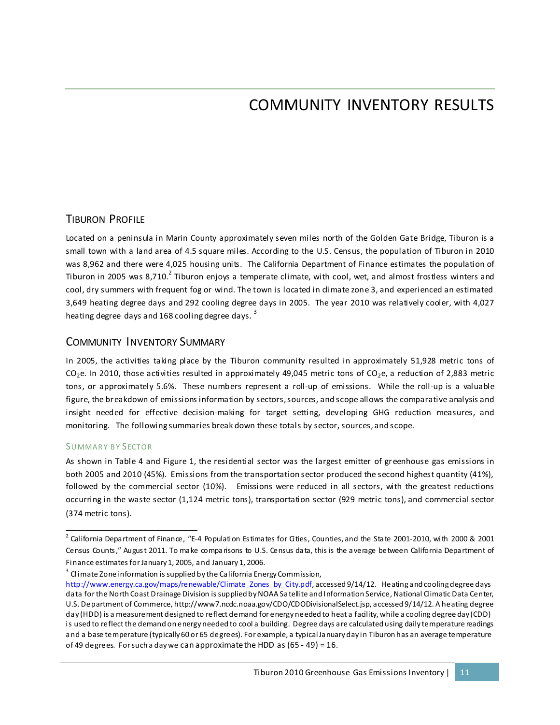## COMMUNITY INVENTORY RESULTS

### TIBURON PROFILE

Located on a peninsula in Marin County approximately seven miles north of the Golden Gate Bridge, Tiburon is a small town with a land area of 4.5 square miles. According to the U.S. Census, the population of Tiburon in 2010 was 8,962 and there were 4,025 housing units. The California Department of Finance estimates the population of Tiburon in [2](#page-14-0)005 was 8,710.<sup>2</sup> Tiburon enjoys a temperate climate, with cool, wet, and almost frostless winters and cool, dry summers with frequent fog or wind. The town is located in climate zone 3, and experienced an estimated 3,649 heating degree days and 292 cooling degree days in 2005. The year 2010 was relatively cooler, with 4,027 heating degree days and 168 cooling degree days.<sup>[3](#page-14-1)</sup>

#### COMMUNITY INVENTORY SUMMARY

In 2005, the activities taking place by the Tiburon community resulted in approximately 51,928 metric tons of  $CO<sub>2</sub>e$ . In 2010, those activities resulted in approximately 49,045 metric tons of  $CO<sub>2</sub>e$ , a reduction of 2,883 metric tons, or approximately 5.6%. These numbers represent a roll-up of emissions. While the roll-up is a valuable figure, the breakdown of emissions information by sectors, sources, and scope allows the comparative analysis and insight needed for effective decision-making for target setting, developing GHG reduction measures, and monitoring. The following summaries break down these totals by sector, sources, and scope.

#### SUMMARY BY SECTOR

As shown in Table 4 and Figure 1, the residential sector was the largest emitter of greenhouse gas emissions in both 2005 and 2010 (45%). Emissions from the transportation sector produced the second highest quantity (41%), followed by the commercial sector (10%). Emissions were reduced in all sectors, with the greatest reductions occurring in the waste sector (1,124 metric tons), transportation sector (929 metric tons), and commercial sector (374 metric tons).

<span id="page-14-1"></span><sup>3</sup> Climate Zone information is supplied by the California Energy Commission, [http://www.energy.ca.gov/maps/renewable/Climate\\_Zones\\_by\\_City.pdf](http://www.energy.ca.gov/maps/renewable/Climate_Zones_by_City.pdf), accessed 9/14/12. Heating and cooling degree days data for the North Coast Drainage Division is supplied by NOAA Satellite and Information Service, National Climatic Data Center, U.S. Department of Commerce, http://www7.ncdc.noaa.gov/CDO/CDODivisionalSelect.jsp, accessed 9/14/12. A heating degree day (HDD) is a measurement designed to reflect demand for energy needed to heat a facility, while a cooling degree day (CDD) is used to reflect the demand on energy needed to cool a building. Degree days are calculated using daily temperature readings and a base temperature (typically 60 or 65 degrees). For example, a typical January day in Tiburon has an average temperature of 49 degrees. For such a day we can approximate the HDD as (65 - 49) = 16.

<span id="page-14-0"></span> $2$  California Department of Finance, "E-4 Population Estimates for Gities, Counties, and the State 2001-2010, with 2000 & 2001 Census Counts," August 2011. To make comparisons to U.S. Census data, this is the average between California Department of Finance estimates for January 1, 2005, and January 1, 2006.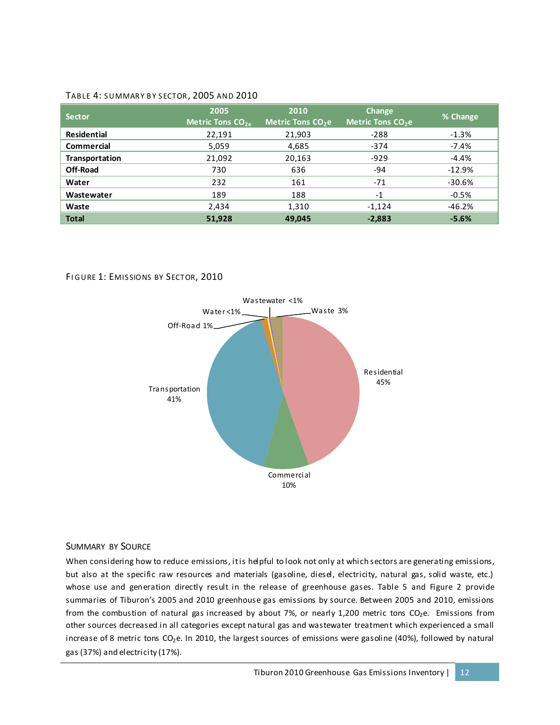#### TABLE 4: SUMMARY BY SECTOR, 2005 AND 2010

| <b>Sector</b>         | 2005<br>Metric Tons $CO2a$ | 2010<br>Metric Tons CO <sub>2</sub> e | Change<br>Metric Tons CO <sub>2</sub> e | % Change |
|-----------------------|----------------------------|---------------------------------------|-----------------------------------------|----------|
| Residential           | 22,191                     | 21,903                                | $-288$                                  | $-1.3%$  |
| Commercial            | 5,059                      | 4,685                                 | $-374$                                  | $-7.4%$  |
| <b>Transportation</b> | 21,092                     | 20,163                                | $-929$                                  | $-4.4%$  |
| <b>Off-Road</b>       | 730                        | 636                                   | -94                                     | $-12.9%$ |
| Water                 | 232                        | 161                                   | $-71$                                   | $-30.6%$ |
| Wastewater            | 189                        | 188                                   | $-1$                                    | $-0.5%$  |
| Waste                 | 2,434                      | 1,310                                 | $-1,124$                                | $-46.2%$ |
| <b>Total</b>          | 51.928                     | 49,045                                | $-2,883$                                | $-5.6%$  |

#### FIGURE 1: EMISSIONS BY SECTOR, 2010



#### SUMMARY BY SOURCE

When considering how to reduce emissions, it is helpful to look not only at which sectors are generating emissions, but also at the specific raw resources and materials (gasoline, diesel, electricity, natural gas, solid waste, etc.) whose use and generation directly result in the release of greenhouse gases. Table 5 and Figure 2 provide summaries of Tiburon's 2005 and 2010 greenhouse gas emissions by source. Between 2005 and 2010, emissions from the combustion of natural gas increased by about 7%, or nearly 1,200 metric tons CO<sub>2</sub>e. Emissions from other sources decreased in all categories except natural gas and wastewater treatment which experienced a small increase of 8 metric tons  $CO_2e$ . In 2010, the largest sources of emissions were gasoline (40%), followed by natural gas (37%) and electricity (17%).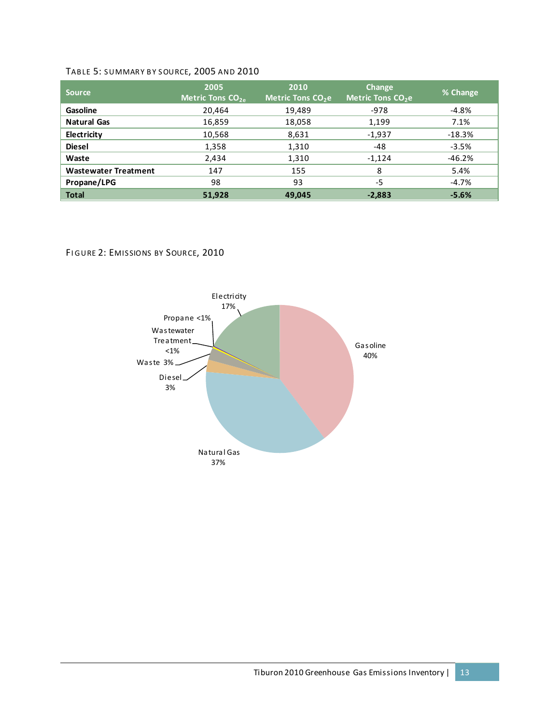#### TABLE 5: SUMMARY BY SOURCE, 2005 AND 2010

| <b>Source</b>               | 2005<br>Metric Tons $CO2e$ | 2010<br>Metric Tons CO <sub>2</sub> e | Change<br>Metric Tons CO <sub>2</sub> e | % Change |
|-----------------------------|----------------------------|---------------------------------------|-----------------------------------------|----------|
| Gasoline                    | 20,464                     | 19,489                                | $-978$                                  | -4.8%    |
| <b>Natural Gas</b>          | 16,859                     | 18,058                                | 1,199                                   | 7.1%     |
| Electricity                 | 10,568                     | 8,631                                 | $-1,937$                                | $-18.3%$ |
| <b>Diesel</b>               | 1,358                      | 1,310                                 | -48                                     | $-3.5%$  |
| Waste                       | 2,434                      | 1,310                                 | $-1,124$                                | $-46.2%$ |
| <b>Wastewater Treatment</b> | 147                        | 155                                   | 8                                       | 5.4%     |
| Propane/LPG                 | 98                         | 93                                    | $-5$                                    | $-4.7\%$ |
| <b>Total</b>                | 51,928                     | 49,045                                | $-2,883$                                | $-5.6%$  |

#### FIGURE 2: EMISSIONS BY SOURCE, 2010

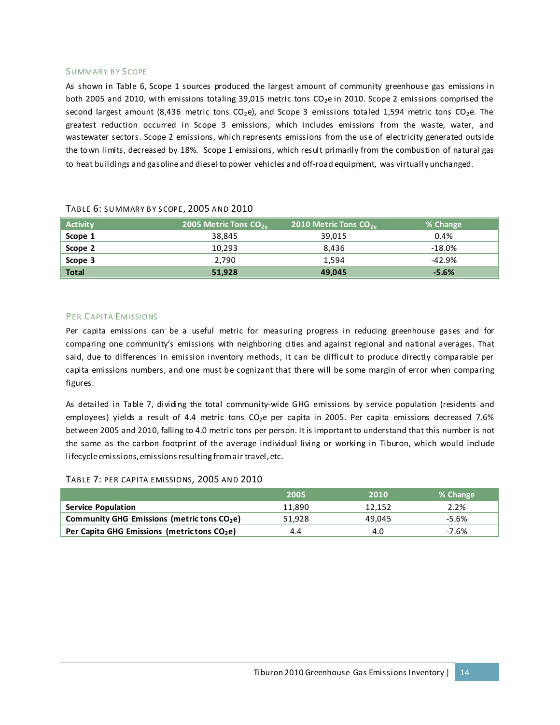#### SUMMARY BY SCOPE

As shown in Table 6, Scope 1 sources produced the largest amount of community greenhouse gas emissions in both 2005 and 2010, with emissions totaling 39,015 metric tons CO<sub>2</sub>e in 2010. Scope 2 emissions comprised the second largest amount (8,436 metric tons  $CO<sub>2</sub>e$ ), and Scope 3 emissions totaled 1,594 metric tons  $CO<sub>2</sub>e$ . The greatest reduction occurred in Scope 3 emissions, which includes emissions from the waste, water, and wastewater sectors. Scope 2 emissions, which represents emissions from the use of electricity generated outside the town limits, decreased by 18%. Scope 1 emissions, which result primarily from the combustion of natural gas to heat buildings and gasoline and diesel to power vehicles and off-road equipment, was virtually unchanged.

| <b>Activity</b> | 2005 Metric Tons $CO2a$ | 2010 Metric Tons $CO_{2a}$ | % Change  |
|-----------------|-------------------------|----------------------------|-----------|
| Scope 1         | 38.845                  | 39.015                     | 0.4%      |
| Scope 2         | 10,293                  | 8.436                      | $-18.0\%$ |
| Scope 3         | 2.790                   | 1.594                      | $-42.9%$  |
| <b>Total</b>    | 51,928                  | 49,045                     | $-5.6\%$  |

#### TABLE 6: SUMMARY BY SCOPE, 2005 AND 2010

#### PER CAPITA EMISSIONS

Per capita emissions can be a useful metric for measuring progress in reducing greenhouse gases and for comparing one community's emissions with neighboring cities and against regional and national averages. That said, due to differences in emission inventory methods, it can be difficult to produce directly comparable per capita emissions numbers, and one must be cognizant that there will be some margin of error when comparing figures.

As detailed in Table 7, dividing the total community-wide GHG emissions by service population (residents and employees) yields a result of 4.4 metric tons  $CO<sub>2</sub>e$  per capita in 2005. Per capita emissions decreased 7.6% between 2005 and 2010, falling to 4.0 metric tons per person. It is important to understand that this number is not the same as the carbon footprint of the average individual living or working in Tiburon, which would include lifecycle emissions, emissions resulting from air travel, etc.

#### TABLE 7: PER CAPITA EMISSIONS, 2005 AND 2010

|                                                         | 2005   | 2010   | % Change |
|---------------------------------------------------------|--------|--------|----------|
| <b>Service Population</b>                               | 11.890 | 12.152 | 2.2%     |
| Community GHG Emissions (metric tons CO <sub>2</sub> e) | 51.928 | 49.045 | -5.6%    |
| Per Capita GHG Emissions (metrictons $CO2e$ )           | 4.4    | 4.O    | -7.6%    |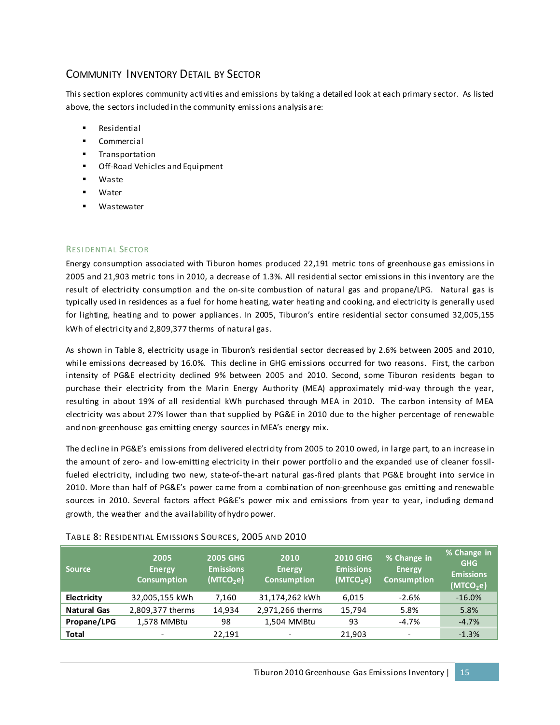## COMMUNITY INVENTORY DETAIL BY SECTOR

This section explores community activities and emissions by taking a detailed look at each primary sector. As listed above, the sectors included in the community emissions analysis are:

- Residential
- **Commercial**
- **Transportation**
- **Off-Road Vehicles and Equipment**
- Waste
- Water
- Wastewater

#### RESI DENTIAL SECTOR

Energy consumption associated with Tiburon homes produced 22,191 metric tons of greenhouse gas emissions in 2005 and 21,903 metric tons in 2010, a decrease of 1.3%. All residential sector emissions in this inventory are the result of electricity consumption and the on-site combustion of natural gas and propane/LPG. Natural gas is typically used in residences as a fuel for home heating, water heating and cooking, and electricity is generally used for lighting, heating and to power appliances. In 2005, Tiburon's entire residential sector consumed 32,005,155 kWh of electricity and 2,809,377 therms of natural gas.

As shown in Table 8, electricity usage in Tiburon's residential sector decreased by 2.6% between 2005 and 2010, while emissions decreased by 16.0%. This decline in GHG emissions occurred for two reasons. First, the carbon intensity of PG&E electricity declined 9% between 2005 and 2010. Second, some Tiburon residents began to purchase their electricity from the Marin Energy Authority (MEA) approximately mid-way through the year, resulting in about 19% of all residential kWh purchased through MEA in 2010. The carbon intensity of MEA electricity was about 27% lower than that supplied by PG&E in 2010 due to the higher percentage of renewable and non-greenhouse gas emitting energy sources in MEA's energy mix.

The decline in PG&E's emissions from delivered electricity from 2005 to 2010 owed, in large part, to an increase in the amount of zero- and low-emitting electricity in their power portfolio and the expanded use of cleaner fossilfueled electricity, including two new, state-of-the-art natural gas-fired plants that PG&E brought into service in 2010. More than half of PG&E's power came from a combination of non-greenhouse gas emitting and renewable sources in 2010. Several factors affect PG&E's power mix and emissions from year to year, including demand growth, the weather and the availability of hydro power.

| <b>Source</b>      | 2005<br><b>Energy</b><br><b>Consumption</b> | <b>2005 GHG</b><br><b>Emissions</b><br>(MTCO <sub>2</sub> e) | 2010<br><b>Energy</b><br><b>Consumption</b> | <b>2010 GHG</b><br><b>Emissions</b><br>(MTCO <sub>2</sub> e) | % Change in<br><b>Energy</b><br><b>Consumption</b> | % Change in<br><b>GHG</b><br><b>Emissions</b><br>(MTCO <sub>2</sub> e) |
|--------------------|---------------------------------------------|--------------------------------------------------------------|---------------------------------------------|--------------------------------------------------------------|----------------------------------------------------|------------------------------------------------------------------------|
| Electricity        | 32,005,155 kWh                              | 7,160                                                        | 31,174,262 kWh                              | 6,015                                                        | $-2.6%$                                            | $-16.0%$                                                               |
| <b>Natural Gas</b> | 2,809,377 therms                            | 14,934                                                       | 2,971,266 therms                            | 15,794                                                       | 5.8%                                               | 5.8%                                                                   |
| Propane/LPG        | 1,578 MMBtu                                 | 98                                                           | 1,504 MMBtu                                 | 93                                                           | -4.7%                                              | $-4.7%$                                                                |
| <b>Total</b>       | $\overline{\phantom{a}}$                    | 22.191                                                       | $\qquad \qquad$                             | 21.903                                                       | $\overline{\phantom{a}}$                           | $-1.3%$                                                                |

#### TABLE 8: RESIDENTIAL EMISSIONS SOURCES, 2005 AND 2010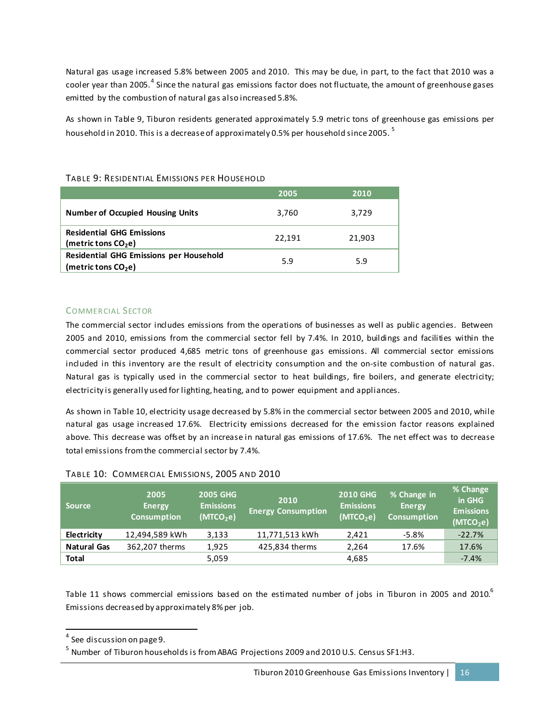Natural gas usage increased 5.8% between 2005 and 2010. This may be due, in part, to the fact that 2010 was a cooler year than 2005.<sup>[4](#page-19-0)</sup> Since the natural gas emissions factor does not fluctuate, the amount of greenhouse gases emitted by the combustion of natural gas also increased 5.8%.

As shown in Table 9, Tiburon residents generated approximately 5.9 metric tons of greenhouse gas emissions per household in 2010. This is a decrease of approximately 0.[5](#page-19-1)% per household since 2005.  $^{\rm 5}$ 

|                                                                                   | 2005   | 2010   |
|-----------------------------------------------------------------------------------|--------|--------|
| <b>Number of Occupied Housing Units</b>                                           | 3,760  | 3,729  |
| <b>Residential GHG Emissions</b><br>(metric tons $CO2e$ )                         | 22,191 | 21,903 |
| <b>Residential GHG Emissions per Household</b><br>(metric tons CO <sub>2</sub> e) | 5.9    | 5.9    |

#### TABLE 9: RESIDENTIAL EMISSIONS PER HOUSEHOLD

#### COMMERCIAL SECTOR

The commercial sector includes emissions from the operations of businesses as well as public agencies. Between 2005 and 2010, emissions from the commercial sector fell by 7.4%. In 2010, buildings and facilities within the commercial sector produced 4,685 metric tons of greenhouse gas emissions. All commercial sector emissions included in this inventory are the result of electricity consumption and the on-site combustion of natural gas. Natural gas is typically used in the commercial sector to heat buildings, fire boilers, and generate electricity; electricity is generally used for lighting, heating, and to power equipment and appliances.

As shown in Table 10, electricity usage decreased by 5.8% in the commercial sector between 2005 and 2010, while natural gas usage increased 17.6%. Electricity emissions decreased for the emission factor reasons explained above. This decrease was offset by an increase in natural gas emissions of 17.6%. The net effect was to decrease total emissions from the commercial sector by 7.4%.

| <b>Source</b>      | 2005<br><b>Energy</b><br><b>Consumption</b> | <b>2005 GHG</b><br><b>Emissions</b><br>(MTCO <sub>2</sub> e) | 2010<br><b>Energy Consumption</b> | <b>2010 GHG</b><br><b>Emissions</b><br>(MTCO <sub>2</sub> e) | % Change in<br><b>Energy</b><br><b>Consumption</b> | % Change<br>in GHG<br><b>Emissions</b><br>(MTCO <sub>2</sub> e) |
|--------------------|---------------------------------------------|--------------------------------------------------------------|-----------------------------------|--------------------------------------------------------------|----------------------------------------------------|-----------------------------------------------------------------|
| Electricity        | 12,494,589 kWh                              | 3.133                                                        | 11,771,513 kWh                    | 2.421                                                        | $-5.8%$                                            | $-22.7%$                                                        |
| <b>Natural Gas</b> | 362.207 therms                              | 1.925                                                        | 425,834 therms                    | 2.264                                                        | 17.6%                                              | 17.6%                                                           |
| <b>Total</b>       |                                             | 5,059                                                        |                                   | 4,685                                                        |                                                    | $-7.4%$                                                         |

#### TABLE 10: COMMER CIAL EMIS SIONS, 2005 AND 2010

Table 11 shows commercial emissions based on the estimated number of jobs in Tiburon in 2005 and 2010. $^6$  $^6$ Emissions decreased by approximately 8% per job.

<span id="page-19-2"></span><span id="page-19-0"></span> <sup>4</sup> See discussion on page 9.

<span id="page-19-1"></span><sup>&</sup>lt;sup>5</sup> Number of Tiburon households is from ABAG Projections 2009 and 2010 U.S. Census SF1:H3.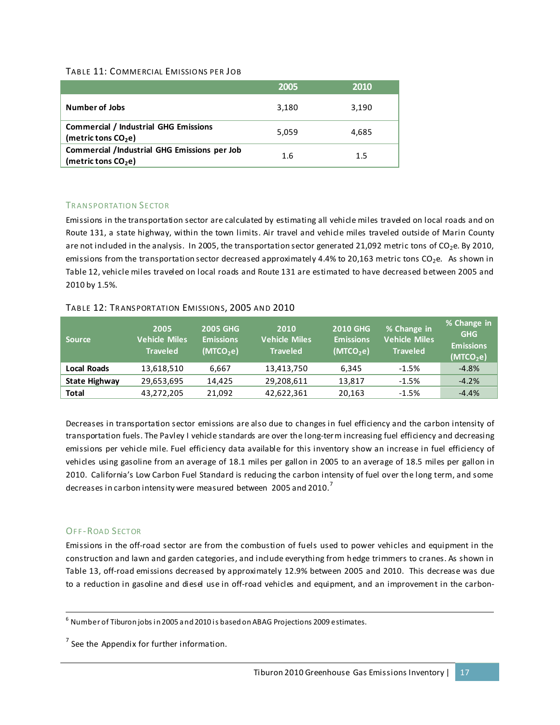#### TABLE 11: COMMERCIAL EMISSIONS PER JOB

|                                                                              | 2005  | 2010  |
|------------------------------------------------------------------------------|-------|-------|
| <b>Number of Jobs</b>                                                        | 3,180 | 3,190 |
| <b>Commercial / Industrial GHG Emissions</b><br>(metric tons $CO2e$ )        | 5.059 | 4,685 |
| <b>Commercial /Industrial GHG Emissions per Job</b><br>(metric tons $CO2e$ ) | 1.6   | 1.5   |

#### TRANSPORTATION SECTOR

Emissions in the transportation sector are calculated by estimating all vehicle miles traveled on local roads and on Route 131, a state highway, within the town limits. Air travel and vehicle miles traveled outside of Marin County are not included in the analysis. In 2005, the transportation sector generated 21,092 metric tons of  $CO_2$ e. By 2010, emissions from the transportation sector decreased approximately 4.4% to 20,163 metric tons  $CO<sub>2</sub>e$ . As shown in Table 12, vehicle miles traveled on local roads and Route 131 are estimated to have decreased between 2005 and 2010 by 1.5%.

#### TABLE 12: TR ANS PORTATION EMISSIONS, 2005 AND 2010

| <b>Source</b>        | 2005<br><b>Vehicle Miles</b><br><b>Traveled</b> | <b>2005 GHG</b><br><b>Emissions</b><br>(MTCO <sub>2</sub> e) | 2010<br><b>Vehicle Miles</b><br><b>Traveled</b> | <b>2010 GHG</b><br><b>Emissions</b><br>(MTCO <sub>2</sub> e) | % Change in<br>Vehicle Miles<br><b>Traveled</b> | % Change in<br><b>GHG</b><br><b>Emissions</b><br>(MTCO <sub>2</sub> e) |
|----------------------|-------------------------------------------------|--------------------------------------------------------------|-------------------------------------------------|--------------------------------------------------------------|-------------------------------------------------|------------------------------------------------------------------------|
| Local Roads          | 13,618,510                                      | 6,667                                                        | 13,413,750                                      | 6,345                                                        | $-1.5%$                                         | $-4.8%$                                                                |
| <b>State Highway</b> | 29,653,695                                      | 14.425                                                       | 29,208,611                                      | 13,817                                                       | -1.5%                                           | $-4.2%$                                                                |
| Total                | 43,272,205                                      | 21.092                                                       | 42,622,361                                      | 20,163                                                       | $-1.5%$                                         | $-4.4%$                                                                |

Decreases in transportation sector emissions are also due to changes in fuel efficiency and the carbon intensity of transportation fuels. The Pavley I vehicle standards are over the long-ter m increasing fuel efficiency and decreasing emissions per vehicle mile. Fuel efficiency data available for this inventory show an increase in fuel efficiency of vehicles using gasoline from an average of 18.1 miles per gallon in 2005 to an average of 18.5 miles per gallon in 2010. California's Low Carbon Fuel Standard is reducing the carbon intensity of fuel over the long term, and some decreases in carbon intensity were measured between 2005 and 2010.<sup>[7](#page-20-0)</sup>

#### **OFF-ROAD SECTOR**

Emissions in the off-road sector are from the combustion of fuels used to power vehicles and equipment in the construction and lawn and garden categories, and include everything from hedge trimmers to cranes. As shown in Table 13, off-road emissions decreased by approximately 12.9% between 2005 and 2010. This decrease was due to a reduction in gasoline and diesel use in off-road vehicles and equipment, and an improvement in the carbon-

 $6$  Number of Tiburon jobs in 2005 and 2010 is based on ABAG Projections 2009 estimates.

<span id="page-20-0"></span> $<sup>7</sup>$  See the Appendix for further information.</sup>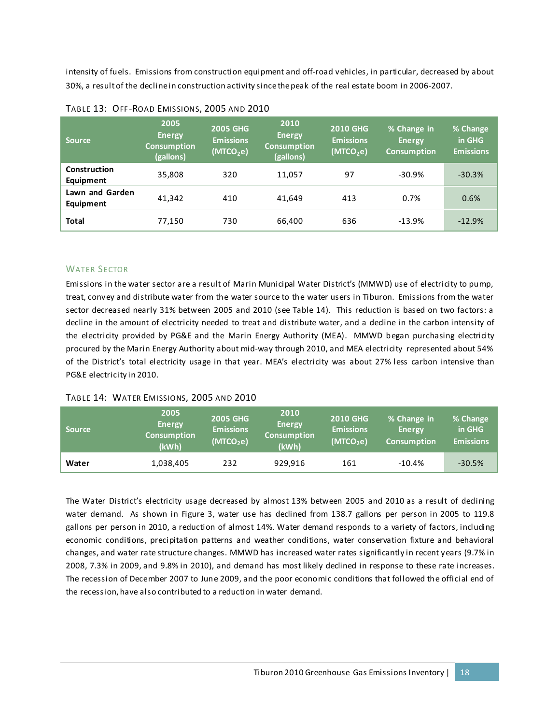intensity of fuels. Emissions from construction equipment and off-road vehicles, in particular, decreased by about 30%, a result of the decline in construction activity since the peak of the real estate boom in 2006-2007.

| <b>Source</b>                | 2005<br><b>Energy</b><br><b>Consumption</b><br>(gallons) | <b>2005 GHG</b><br><b>Emissions</b><br>(MTCO <sub>2</sub> e) | 2010<br><b>Energy</b><br><b>Consumption</b><br>(gallons) | <b>2010 GHG</b><br><b>Emissions</b><br>(MTCO <sub>2</sub> e) | % Change in<br><b>Energy</b><br><b>Consumption</b> | % Change<br>in GHG<br><b>Emissions</b> |
|------------------------------|----------------------------------------------------------|--------------------------------------------------------------|----------------------------------------------------------|--------------------------------------------------------------|----------------------------------------------------|----------------------------------------|
| Construction<br>Equipment    | 35,808                                                   | 320                                                          | 11,057                                                   | 97                                                           | $-30.9%$                                           | $-30.3%$                               |
| Lawn and Garden<br>Equipment | 41.342                                                   | 410                                                          | 41.649                                                   | 413                                                          | 0.7%                                               | 0.6%                                   |
| <b>Total</b>                 | 77,150                                                   | 730                                                          | 66,400                                                   | 636                                                          | $-13.9%$                                           | $-12.9%$                               |

#### WATER SECTOR

Emissions in the water sector are a result of Marin Municipal Water District's (MMWD) use of electricity to pump, treat, convey and distribute water from the water source to the water users in Tiburon. Emissions from the water sector decreased nearly 31% between 2005 and 2010 (see Table 14). This reduction is based on two factors: a decline in the amount of electricity needed to treat and distribute water, and a decline in the carbon intensity of the electricity provided by PG&E and the Marin Energy Authority (MEA). MMWD began purchasing electricity procured by the Marin Energy Authority about mid-way through 2010, and MEA electricity represented about 54% of the District's total electricity usage in that year. MEA's electricity was about 27% less carbon intensive than PG&E electricity in 2010.

#### TABLE 14: WATER EMISSIONS, 2005 AND 2010

| <b>Source</b> | 2005<br><b>Energy</b><br><b>Consumption</b><br>(kWh) | <b>2005 GHG</b><br><b>Emissions</b><br>(MTCO <sub>2</sub> e) | 2010<br><b>Energy</b><br><b>Consumption</b><br>(kWh) | <b>2010 GHG</b><br><b>Emissions</b><br>(MTCO <sub>2</sub> e) | % Change in<br><b>Energy</b><br><b>Consumption</b> | % Change<br>in GHG<br><b>Emissions</b> |
|---------------|------------------------------------------------------|--------------------------------------------------------------|------------------------------------------------------|--------------------------------------------------------------|----------------------------------------------------|----------------------------------------|
| Water         | 1,038,405                                            | 232                                                          | 929.916                                              | 161                                                          | $-10.4%$                                           | $-30.5%$                               |

The Water District's electricity usage decreased by almost 13% between 2005 and 2010 as a result of declining water demand. As shown in Figure 3, water use has declined from 138.7 gallons per person in 2005 to 119.8 gallons per person in 2010, a reduction of almost 14%. Water demand responds to a variety of factors, including economic conditions, precipitation patterns and weather conditions, water conservation fixture and behavioral changes, and water rate structure changes. MMWD has increased water rates significantly in recent years (9.7% in 2008, 7.3% in 2009, and 9.8% in 2010), and demand has most likely declined in response to these rate increases. The recession of December 2007 to June 2009, and the poor economic conditions that followed the official end of the recession, have also contributed to a reduction in water demand.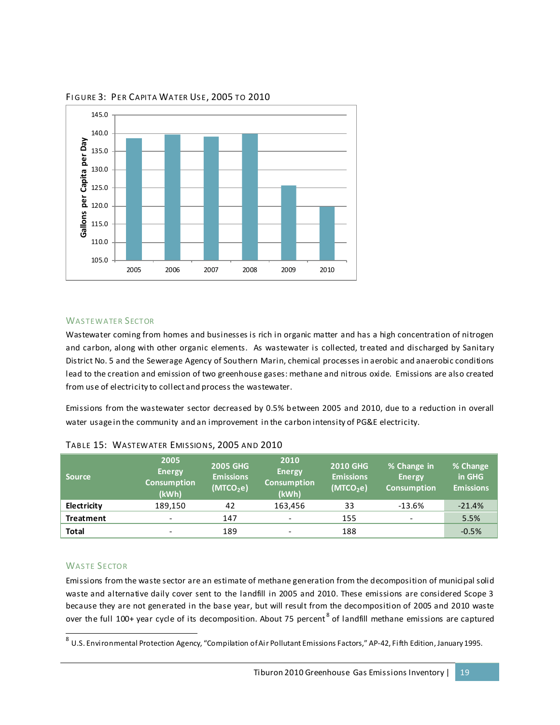

FIGURE 3: PER CAPITA WATER USE, 2005 TO 2010

#### WASTEWATER SECTOR

Wastewater coming from homes and businesses is rich in organic matter and has a high concentration of nitrogen and carbon, along with other organic elements. As wastewater is collected, treated and discharged by Sanitary District No. 5 and the Sewerage Agency of Southern Marin, chemical processes in aerobic and anaerobic conditions lead to the creation and emission of two greenhouse gases: methane and nitrous oxide. Emissions are also created from use of electricity to collect and process the wastewater.

Emissions from the wastewater sector decreased by 0.5% between 2005 and 2010, due to a reduction in overall water usage in the community and an improvement in the carbon intensity of PG&E electricity.

| <b>Source</b>    | 2005<br><b>Energy</b><br><b>Consumption</b><br>(kWh) | <b>2005 GHG</b><br><b>Emissions</b><br>(MTCO <sub>2</sub> e) | 2010<br><b>Energy</b><br><b>Consumption</b><br>(kWh) | <b>2010 GHG</b><br><b>Emissions</b><br>(MTCO <sub>2</sub> e) | % Change in<br><b>Energy</b><br><b>Consumption</b> | % Change<br>in GHG<br><b>Emissions</b> |
|------------------|------------------------------------------------------|--------------------------------------------------------------|------------------------------------------------------|--------------------------------------------------------------|----------------------------------------------------|----------------------------------------|
| Electricity      | 189,150                                              | 42                                                           | 163,456                                              | 33                                                           | $-13.6%$                                           | $-21.4%$                               |
| <b>Treatment</b> | $\overline{\phantom{a}}$                             | 147                                                          | $\overline{\phantom{0}}$                             | 155                                                          |                                                    | 5.5%                                   |
| <b>Total</b>     | $\overline{\phantom{a}}$                             | 189                                                          |                                                      | 188                                                          |                                                    | $-0.5%$                                |

|  | TABLE 15: WASTEWATER EMISSIONS, 2005 AND 2010 |  |  |  |  |
|--|-----------------------------------------------|--|--|--|--|
|--|-----------------------------------------------|--|--|--|--|

#### WASTE SECTOR

Emissions from the waste sector are an estimate of methane generation from the decomposition of municipal solid waste and alternative daily cover sent to the landfill in 2005 and 2010. These emissions are considered Scope 3 because they are not generated in the base year, but will result from the decomposition of 2005 and 2010 waste over the full 100+ year cycle of its decomposition. About 75 percent  $^8$  $^8$  of landfill methane emissions are captured

<span id="page-22-0"></span> <sup>8</sup> U.S. Environmental Protection Agency, "Compilation of Air Pollutant Emissions Factors," AP-42, Fifth Edition, January 1995.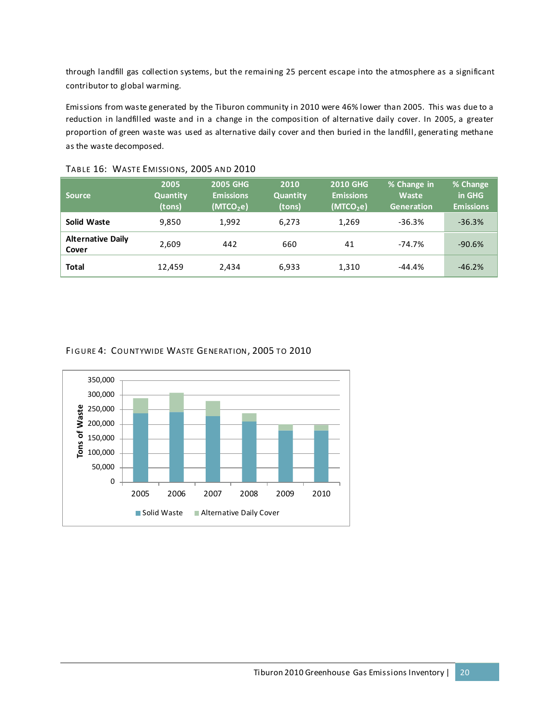through landfill gas collection systems, but the remaining 25 percent escape into the atmosphere as a significant contributor to global warming.

Emissions from waste generated by the Tiburon community in 2010 were 46% lower than 2005. This was due to a reduction in landfilled waste and in a change in the composition of alternative daily cover. In 2005, a greater proportion of green waste was used as alternative daily cover and then buried in the landfill, generating methane as the waste decomposed.

| <b>Source</b>                     | 2005<br><b>Quantity</b><br>(tons) | <b>2005 GHG</b><br><b>Emissions</b><br>(MTCO <sub>2</sub> e) | 2010<br><b>Quantity</b><br>(tons) | 2010 GHG<br><b>Emissions</b><br>(MTCO <sub>2</sub> e) | % Change in<br>Waste<br>Generation | % Change<br>in GHG<br><b>Emissions</b> |
|-----------------------------------|-----------------------------------|--------------------------------------------------------------|-----------------------------------|-------------------------------------------------------|------------------------------------|----------------------------------------|
| Solid Waste                       | 9,850                             | 1.992                                                        | 6,273                             | 1,269                                                 | $-36.3%$                           | $-36.3%$                               |
| <b>Alternative Daily</b><br>Cover | 2,609                             | 442                                                          | 660                               | 41                                                    | $-74.7%$                           | $-90.6%$                               |
| Total                             | 12,459                            | 2.434                                                        | 6,933                             | 1,310                                                 | $-44.4%$                           | $-46.2%$                               |

#### TABLE 16: WASTE EMISSIONS, 2005 AND 2010

#### FI GURE 4: COUNTYWIDE WASTE GENERATION, 2005 TO 2010

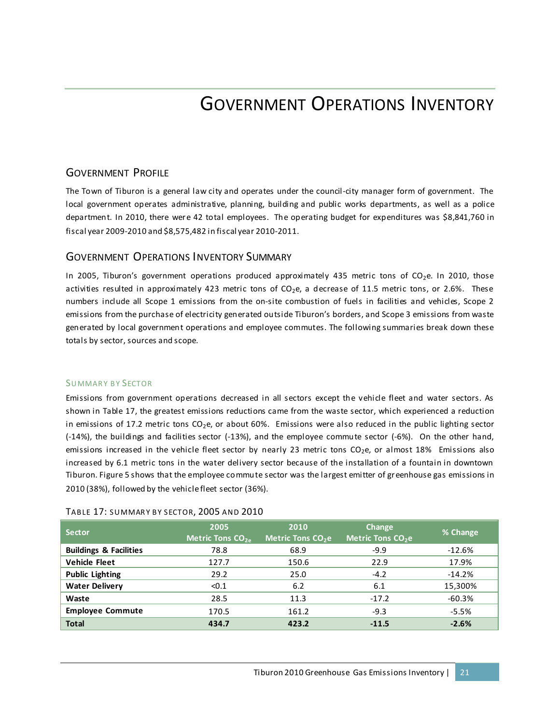## GOVERNMENT OPERATIONS INVENTORY

### GOVERNMENT PROFILE

The Town of Tiburon is a general law city and operates under the council-city manager form of government. The local government operates administrative, planning, building and public works departments, as well as a police department. In 2010, there were 42 total employees. The operating budget for expenditures was \$8,841,760 in fiscal year 2009-2010 and \$8,575,482 in fiscal year 2010-2011.

#### GOVERNMENT OPERATIONS INVENTORY SUMMARY

In 2005, Tiburon's government operations produced approximately 435 metric tons of  $CO<sub>2</sub>e$ . In 2010, those activities resulted in approximately 423 metric tons of  $CO<sub>2</sub>e$ , a decrease of 11.5 metric tons, or 2.6%. These numbers include all Scope 1 emissions from the on-site combustion of fuels in facilities and vehicles, Scope 2 emissions from the purchase of electricity generated outside Tiburon's borders, and Scope 3 emissions from waste generated by local government operations and employee commutes. The following summaries break down these totals by sector, sources and scope.

#### SUMMARY BY SECTOR

Emissions from government operations decreased in all sectors except the vehicle fleet and water sectors. As shown in Table 17, the greatest emissions reductions came from the waste sector, which experienced a reduction in emissions of 17.2 metric tons  $CO<sub>2</sub>e$ , or about 60%. Emissions were also reduced in the public lighting sector (-14%), the buildings and facilities sector (-13%), and the employee commute sector (-6%). On the other hand, emissions increased in the vehicle fleet sector by nearly 23 metric tons CO<sub>2</sub>e, or almost 18% Emissions also increased by 6.1 metric tons in the water delivery sector because of the installation of a fountain in downtown Tiburon. Figure 5 shows that the employee commute sector was the largest emitter of gr eenhouse gas emissions in 2010 (38%), followed by the vehicle fleet sector (36%).

| <b>Sector</b>                     | 2005<br>Metric Tons $CO2a$ | 2010<br>Metric Tons CO <sub>2</sub> e | Change<br>Metric Tons CO <sub>2</sub> e | % Change |
|-----------------------------------|----------------------------|---------------------------------------|-----------------------------------------|----------|
| <b>Buildings &amp; Facilities</b> | 78.8                       | 68.9                                  | $-9.9$                                  | $-12.6%$ |
| <b>Vehicle Fleet</b>              | 127.7                      | 150.6                                 | 22.9                                    | 17.9%    |
| <b>Public Lighting</b>            | 29.2                       | 25.0                                  | $-4.2$                                  | $-14.2%$ |
| <b>Water Delivery</b>             | < 0.1                      | 6.2                                   | 6.1                                     | 15,300%  |
| Waste                             | 28.5                       | 11.3                                  | $-17.2$                                 | $-60.3%$ |
| <b>Employee Commute</b>           | 170.5                      | 161.2                                 | $-9.3$                                  | $-5.5%$  |
| <b>Total</b>                      | 434.7                      | 423.2                                 | $-11.5$                                 | $-2.6%$  |

#### TABLE 17: SUMMARY BY SECTOR, 2005 AND 2010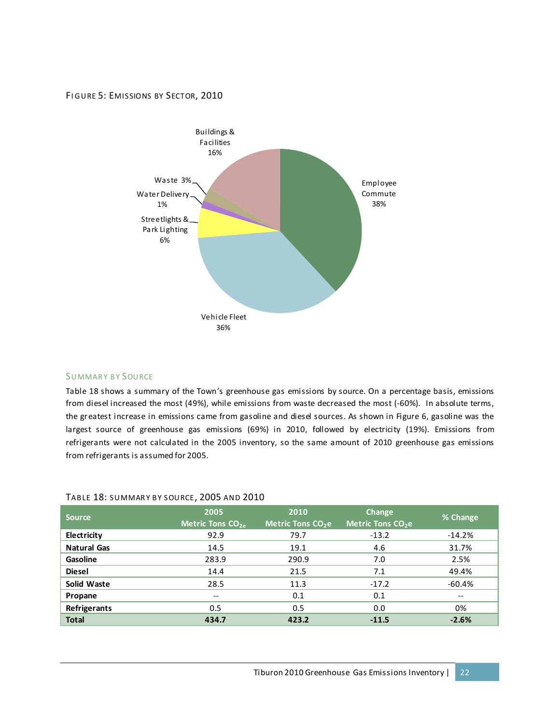#### FIGURE 5: EMISSIONS BY SECTOR, 2010



#### SUMMARY BY SOURCE

Table 18 shows a summary of the Town's greenhouse gas emissions by source. On a percentage basis, emissions from diesel increased the most (49%), while emissions from waste decreased the most (-60%). In absolute terms, the greatest increase in emissions came from gasoline and diesel sources. As shown in Figure 6, gasoline was the largest source of greenhouse gas emissions (69%) in 2010, followed by electricity (19%). Emissions from refrigerants were not calculated in the 2005 inventory, so the same amount of 2010 greenhouse gas emissions from refrigerants is assumed for 2005.

#### TABLE 18: SUMMARY BY SOURCE, 2005 AND 2010

| <b>Source</b>      | 2005<br>Metric Tons $CO_{2e}$ | 2010<br>Metric Tons CO <sub>2</sub> e | Change<br>Metric Tons CO <sub>2</sub> e | % Change  |
|--------------------|-------------------------------|---------------------------------------|-----------------------------------------|-----------|
| Electricity        | 92.9                          | 79.7                                  | $-13.2$                                 | $-14.2\%$ |
| <b>Natural Gas</b> | 14.5                          | 19.1                                  | 4.6                                     | 31.7%     |
| <b>Gasoline</b>    | 283.9                         | 290.9                                 | 7.0                                     | 2.5%      |
| <b>Diesel</b>      | 14.4                          | 21.5                                  | 7.1                                     | 49.4%     |
| <b>Solid Waste</b> | 28.5                          | 11.3                                  | $-17.2$                                 | -60.4%    |
| Propane            | --                            | 0.1                                   | 0.1                                     | --        |
| Refrigerants       | 0.5                           | 0.5                                   | 0.0                                     | 0%        |
| <b>Total</b>       | 434.7                         | 423.2                                 | $-11.5$                                 | $-2.6%$   |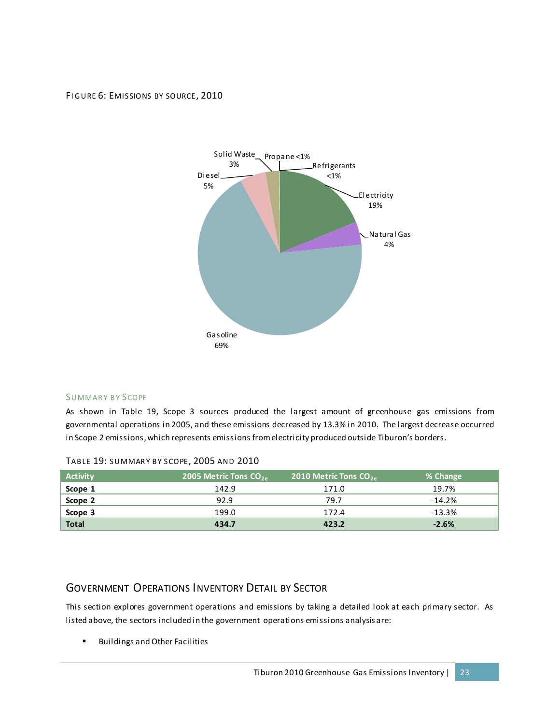#### FIGURE 6: EMISSIONS BY SOURCE, 2010



#### SUMMARY BY SCOPE

As shown in Table 19, Scope 3 sources produced the largest amount of greenhouse gas emissions from governmental operations in 2005, and these emissions decreased by 13.3% in 2010. The largest decrease occurred in Scope 2 emissions, which represents emissions from electricity produced outside Tiburon's borders.

| <b>Activity</b> | 2005 Metric Tons $CO2a$ | 2010 Metric Tons $CO_{2a}$ | % Change |
|-----------------|-------------------------|----------------------------|----------|
| Scope 1         | 142.9                   | 171.0                      | 19.7%    |
| Scope 2         | 92.9                    | 79.7                       | $-14.2%$ |
| Scope 3         | 199.0                   | 172.4                      | $-13.3%$ |
| <b>Total</b>    | 434.7                   | 423.2                      | $-2.6%$  |

#### TABLE 19: SUMMARY BY SCOPE, 2005 AND 2010

### GOVERNMENT OPERATIONS INVENTORY DETAIL BY SECTOR

This section explores government operations and emissions by taking a detailed look at each primary sector. As listed above, the sectors included in the government operations emissions analysis are:

**Buildings and Other Facilities**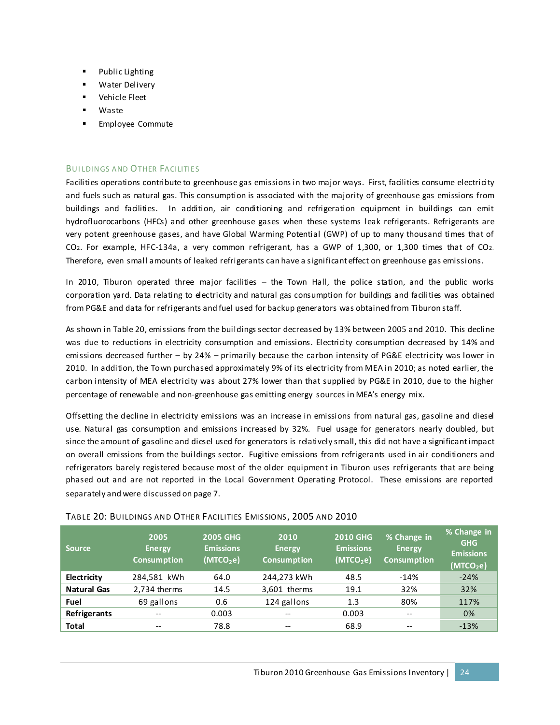- Public Lighting
- Water Delivery
- Vehicle Fleet
- Waste
- **Employee Commute**

#### BUI LDINGS AND OTHER FACILITIES

Facilities operations contribute to greenhouse gas emissions in two major ways. First, facilities consume electricity and fuels such as natural gas. This consumption is associated with the majority of greenhouse gas emissions from buildings and facilities. In addition, air conditioning and refrigeration equipment in buildings can emit hydrofluorocarbons (HFCs) and other greenhouse gases when these systems leak refrigerants. Refrigerants are very potent greenhouse gases, and have Global Warming Potential (GWP) of up to many thousand times that of CO2. For example, HFC-134a, a very common refrigerant, has a GWP of 1,300, or 1,300 times that of CO2. Therefore, even small amounts of leaked refrigerants can have a significant effect on greenhouse gas emissions.

In 2010, Tiburon operated three major facilities – the Town Hall, the police station, and the public works corporation yard. Data relating to electricity and natural gas consumption for buildings and facilities was obtained from PG&E and data for refrigerants and fuel used for backup generators was obtained from Tiburon staff.

As shown in Table 20, emissions from the buildings sector decreased by 13% between 2005 and 2010. This decline was due to reductions in electricity consumption and emissions. Electricity consumption decreased by 14% and emissions decreased further – by 24% – primarily because the carbon intensity of PG&E electricity was lower in 2010. In addition, the Town purchased approximately 9% of its electricity from MEA in 2010; as noted earlier, the carbon intensity of MEA electricity was about 27% lower than that supplied by PG&E in 2010, due to the higher percentage of renewable and non-greenhouse gas emitting energy sources in MEA's energy mix.

Offsetting the decline in electricity emissions was an increase in emissions from natural gas, gasoline and diesel use. Natural gas consumption and emissions increased by 32%. Fuel usage for generators nearly doubled, but since the amount of gasoline and diesel used for generators is relatively small, this did not have a significant impact on overall emissions from the buildings sector. Fugitive emissions from refrigerants used in air conditioners and refrigerators barely registered because most of the older equipment in Tiburon uses refrigerants that are being phased out and are not reported in the Local Government Operating Protocol. These emissions are reported separately and were discussed on page 7.

| Source             | 2005<br><b>Energy</b><br><b>Consumption</b> | <b>2005 GHG</b><br><b>Emissions</b><br>(MTCO <sub>2</sub> e) | 2010<br><b>Energy</b><br><b>Consumption</b> | <b>2010 GHG</b><br><b>Emissions</b><br>(MTCO <sub>2</sub> e) | % Change in<br><b>Energy</b><br><b>Consumption</b> | % Change in<br><b>GHG</b><br><b>Emissions</b><br>(MTCO <sub>2</sub> e) |
|--------------------|---------------------------------------------|--------------------------------------------------------------|---------------------------------------------|--------------------------------------------------------------|----------------------------------------------------|------------------------------------------------------------------------|
| Electricity        | 284,581 kWh                                 | 64.0                                                         | 244,273 kWh                                 | 48.5                                                         | $-14%$                                             | $-24%$                                                                 |
| <b>Natural Gas</b> | 2.734 therms                                | 14.5                                                         | 3,601 therms                                | 19.1                                                         | 32%                                                | 32%                                                                    |
| Fuel               | 69 gallons                                  | 0.6                                                          | 124 gallons                                 | 1.3                                                          | 80%                                                | 117%                                                                   |
| Refrigerants       | $- -$                                       | 0.003                                                        | $-$                                         | 0.003                                                        | $- -$                                              | 0%                                                                     |
| <b>Total</b>       | $- -$                                       | 78.8                                                         | $- -$                                       | 68.9                                                         | --                                                 | $-13%$                                                                 |

#### TABLE 20: BUILDINGS AND OTHER FACILITIES EMIS SIONS , 2005 AND 2010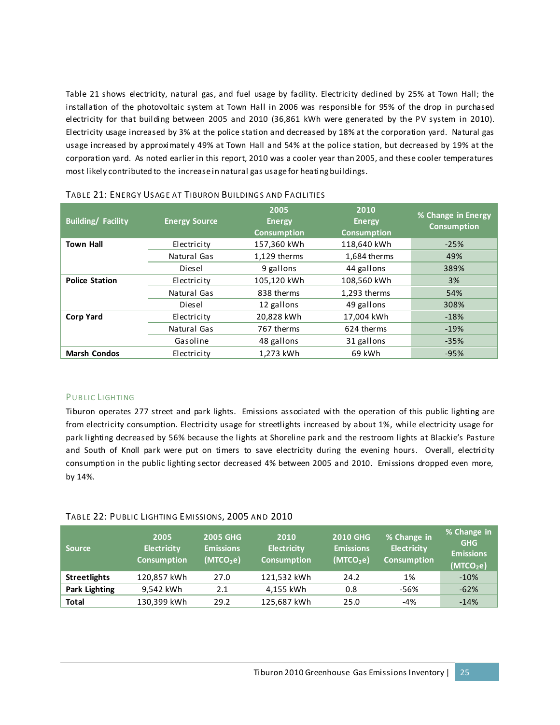Table 21 shows electricity, natural gas, and fuel usage by facility. Electricity declined by 25% at Town Hall; the installation of the photovoltaic system at Town Hall in 2006 was responsible for 95% of the drop in purchased electricity for that building between 2005 and 2010 (36,861 kWh were generated by the PV system in 2010). Electricity usage increased by 3% at the police station and decreased by 18% at the corporation yard. Natural gas usage increased by approximately 49% at Town Hall and 54% at the police station, but decreased by 19% at the corporation yard. As noted earlier in this report, 2010 was a cooler year than 2005, and these cooler temperatures most likely contributed to the increase in natural gas usagefor heating buildings.

| <b>Building/ Facility</b> | <b>Energy Source</b> | 2005<br><b>Energy</b><br><b>Consumption</b> | 2010<br><b>Energy</b><br><b>Consumption</b> | % Change in Energy<br><b>Consumption</b> |
|---------------------------|----------------------|---------------------------------------------|---------------------------------------------|------------------------------------------|
| <b>Town Hall</b>          | Electricity          | 157,360 kWh                                 | 118,640 kWh                                 | $-25%$                                   |
|                           | Natural Gas          | 1,129 therms                                | 1,684 therms                                | 49%                                      |
|                           | Diesel               | 9 gallons                                   | 44 gallons                                  | 389%                                     |
| <b>Police Station</b>     | Electricity          | 105,120 kWh                                 | 108,560 kWh                                 | 3%                                       |
|                           | Natural Gas          | 838 therms                                  | 1,293 therms                                | 54%                                      |
|                           | Diesel               | 12 gallons                                  | 49 gallons                                  | 308%                                     |
| <b>Corp Yard</b>          | Electricity          | 20,828 kWh                                  | 17,004 kWh                                  | $-18%$                                   |
|                           | Natural Gas          | 767 therms                                  | 624 therms                                  | $-19%$                                   |
|                           | Gasoline             | 48 gallons                                  | 31 gallons                                  | $-35%$                                   |
| <b>Marsh Condos</b>       | Electricity          | 1.273 kWh                                   | 69 kWh                                      | $-95%$                                   |

| TABLE 21: ENERGY USAGE AT TIBURON BUILDINGS AND FACILITIES |
|------------------------------------------------------------|
|------------------------------------------------------------|

#### PUBLIC LIGHTING

Tiburon operates 277 street and park lights. Emissions associated with the operation of this public lighting are from electricity consumption. Electricity usage for streetlights increased by about 1%, while electricity usage for park lighting decreased by 56% because the lights at Shoreline park and the restroom lights at Blackie's Pasture and South of Knoll park were put on timers to save electricity during the evening hours. Overall, electricity consumption in the public lighting sector decreased 4% between 2005 and 2010. Emissions dropped even more, by 14%.

#### TABLE 22: PUBLIC LIGHTING EMISSIONS, 2005 AND 2010

| <b>Source</b>        | 2005<br><b>Electricity</b><br><b>Consumption</b> | <b>2005 GHG</b><br><b>Emissions</b><br>(MTCO <sub>2</sub> e) | 2010<br><b>Electricity</b><br><b>Consumption</b> | <b>2010 GHG</b><br><b>Emissions</b><br>(MTCO <sub>2</sub> e) | % Change in<br><b>Electricity</b><br><b>Consumption</b> | % Change in<br><b>GHG</b><br><b>Emissions</b><br>(MTCO <sub>2</sub> e) |
|----------------------|--------------------------------------------------|--------------------------------------------------------------|--------------------------------------------------|--------------------------------------------------------------|---------------------------------------------------------|------------------------------------------------------------------------|
| <b>Streetlights</b>  | 120,857 kWh                                      | 27.0                                                         | 121,532 kWh                                      | 24.2                                                         | 1%                                                      | $-10%$                                                                 |
| <b>Park Lighting</b> | 9.542 kWh                                        | 2.1                                                          | 4,155 kWh                                        | 0.8                                                          | -56%                                                    | $-62%$                                                                 |
| <b>Total</b>         | 130,399 kWh                                      | 29.2                                                         | 125,687 kWh                                      | 25.0                                                         | $-4%$                                                   | $-14%$                                                                 |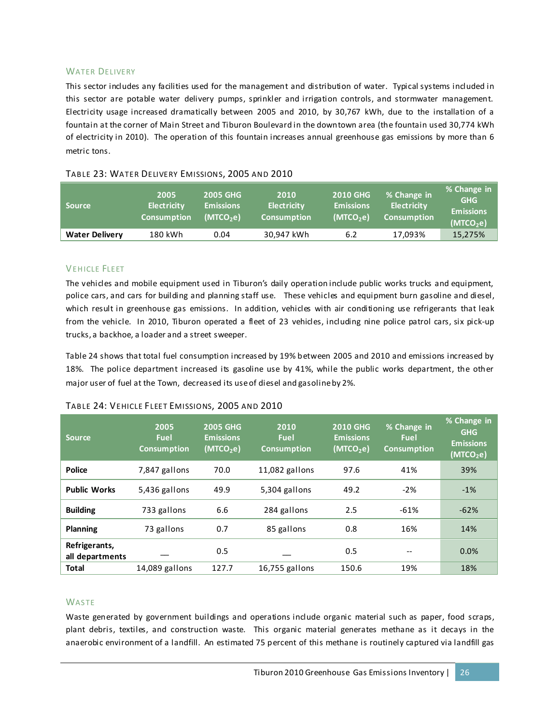#### WATER DELIVERY

This sector includes any facilities used for the management and distribution of water. Typical systems included in this sector are potable water delivery pumps, sprinkler and irrigation controls, and stormwater management. Electricity usage increased dramatically between 2005 and 2010, by 30,767 kWh, due to the installation of a fountain at the corner of Main Street and Tiburon Boulevard in the downtown area (the fountain used 30,774 kWh of electricity in 2010). The operation of this fountain increases annual greenhouse gas emissions by more than 6 metric tons.

| <b>Source</b>         | 2005<br><b>Electricity</b><br><b>Consumption</b> | <b>2005 GHG</b><br><b>Emissions</b><br>(MTCO <sub>2</sub> e) | 2010<br><b>Electricity</b><br><b>Consumption</b> | <b>2010 GHG</b><br><b>Emissions</b><br>(MTCO <sub>2</sub> e) | % Change in<br><b>Electricity</b><br><b>Consumption</b> | % Change in<br><b>GHG</b><br><b>Emissions</b><br>(MTCO <sub>2</sub> e) |
|-----------------------|--------------------------------------------------|--------------------------------------------------------------|--------------------------------------------------|--------------------------------------------------------------|---------------------------------------------------------|------------------------------------------------------------------------|
| <b>Water Delivery</b> | 180 kWh                                          | 0.04                                                         | 30,947 kWh                                       | 6.2                                                          | 17,093%                                                 | 15,275%                                                                |

#### TABLE 23: WATER DELIVERY EMISSIONS, 2005 AND 2010

#### VEHICLE FLEET

The vehicles and mobile equipment used in Tiburon's daily operation include public works trucks and equipment, police cars, and cars for building and planning staff use. These vehicles and equipment burn gasoline and diesel, which result in greenhouse gas emissions. In addition, vehicles with air conditioning use refrigerants that leak from the vehicle. In 2010, Tiburon operated a fleet of 23 vehicles, including nine police patrol cars, six pick-up trucks, a backhoe, a loader and a street sweeper.

Table 24 shows that total fuel consumption increased by 19% between 2005 and 2010 and emissions increased by 18%. The police department increased its gasoline use by 41%, while the public works department, the other major user of fuel at the Town, decreased its use of diesel and gasoline by 2%.

| <b>Source</b>                    | 2005<br><b>Fuel</b><br><b>Consumption</b> | <b>2005 GHG</b><br>2010<br><b>Emissions</b><br><b>Fuel</b><br>(MTCO <sub>2</sub> e)<br><b>Consumption</b> |                  | <b>2010 GHG</b><br><b>Emissions</b><br>(MTCO <sub>2</sub> e) | % Change in<br><b>Fuel</b><br><b>Consumption</b> | % Change in<br><b>GHG</b><br><b>Emissions</b><br>(MTCO <sub>2</sub> e) |
|----------------------------------|-------------------------------------------|-----------------------------------------------------------------------------------------------------------|------------------|--------------------------------------------------------------|--------------------------------------------------|------------------------------------------------------------------------|
| <b>Police</b>                    | 7,847 gallons                             | 70.0                                                                                                      | $11,082$ gallons | 97.6                                                         | 41%                                              | 39%                                                                    |
| <b>Public Works</b>              | 49.9<br>5,436 gallons                     |                                                                                                           | 5,304 gallons    | 49.2                                                         | $-2%$                                            | $-1%$                                                                  |
| <b>Building</b>                  | 733 gallons                               | 6.6                                                                                                       | 284 gallons      | 2.5                                                          | $-61%$                                           | $-62%$                                                                 |
| Planning                         | 73 gallons                                | 0.7                                                                                                       |                  | 0.8                                                          | 16%                                              | 14%                                                                    |
| Refrigerants,<br>all departments | 0.5                                       |                                                                                                           |                  | 0.5                                                          |                                                  | 0.0%                                                                   |
| <b>Total</b>                     | 14,089 gallons                            | 127.7                                                                                                     | 16,755 gallons   | 150.6                                                        | 19%                                              | 18%                                                                    |

#### TABLE 24: VEHICLE FLEET EMISSIONS, 2005 AND 2010

#### **WASTE**

Waste generated by government buildings and operations include organic material such as paper, food scraps, plant debris, textiles, and construction waste. This organic material generates methane as it decays in the anaerobic environment of a landfill. An estimated 75 percent of this methane is routinely captured via landfill gas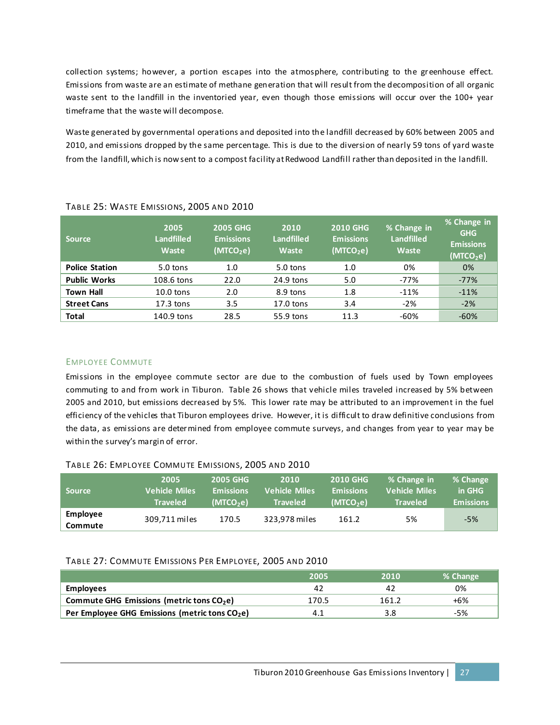collection systems; however, a portion escapes into the atmosphere, contributing to the greenhouse effect. Emissions from waste are an estimate of methane generation that will result from the decomposition of all organic waste sent to the landfill in the inventoried year, even though those emissions will occur over the 100+ year timeframe that the waste will decompose.

Waste generated by governmental operations and deposited into the landfill decreased by 60% between 2005 and 2010, and emissions dropped by the same percentage. This is due to the diversion of nearly 59 tons of yard waste from the landfill, which is now sent to a compost facility at Redwood Landfill rather than deposited in the landfill.

| <b>Source</b>         | 2005<br><b>Landfilled</b><br>Waste | <b>2005 GHG</b><br><b>Emissions</b><br>(MTCO <sub>2</sub> e) | 2010<br><b>Landfilled</b><br>Waste | <b>2010 GHG</b><br><b>Emissions</b><br>(MTCO <sub>2</sub> e) | % Change in<br><b>Landfilled</b><br>Waste | % Change in<br><b>GHG</b><br><b>Emissions</b><br>(MTCO <sub>2</sub> e) |
|-----------------------|------------------------------------|--------------------------------------------------------------|------------------------------------|--------------------------------------------------------------|-------------------------------------------|------------------------------------------------------------------------|
| <b>Police Station</b> | $5.0$ tons                         | 1.0                                                          | 5.0 tons                           | 1.0                                                          | 0%                                        | 0%                                                                     |
| <b>Public Works</b>   | 108.6 tons                         | 22.0                                                         | 24.9 tons                          | 5.0                                                          | $-77%$                                    | $-77%$                                                                 |
| <b>Town Hall</b>      | $10.0$ tons                        | 2.0                                                          | 8.9 tons                           | 1.8                                                          | $-11%$                                    | $-11%$                                                                 |
| <b>Street Cans</b>    | $17.3$ tons                        | 3.5                                                          | $17.0$ tons                        | 3.4                                                          | $-2%$                                     | $-2%$                                                                  |
| <b>Total</b>          | 140.9 tons                         | 28.5                                                         | 55.9 tons                          | 11.3                                                         | $-60%$                                    | $-60%$                                                                 |

#### TABLE 25: WASTE EMISSIONS, 2005 AND 2010

#### EMPLOYEE COMMUTE

Emissions in the employee commute sector are due to the combustion of fuels used by Town employees commuting to and from work in Tiburon. Table 26 shows that vehicle miles traveled increased by 5% between 2005 and 2010, but emissions decreased by 5%. This lower rate may be attributed to an improvement in the fuel efficiency of the vehicles that Tiburon employees drive. However, it is difficult to draw definitive conclusions from the data, as emissions are deter mined from employee commute surveys, and changes from year to year may be within the survey's margin of error.

#### TABLE 26: EMPLOYEE COMMUTE EMISSIONS, 2005 AND 2010

| <b>Source</b>       | 2005                 | <b>2005 GHG</b>       | 2010                 | <b>2010 GHG</b>       | % Change in          | % Change         |
|---------------------|----------------------|-----------------------|----------------------|-----------------------|----------------------|------------------|
|                     | <b>Vehicle Miles</b> | <b>Emissions</b>      | <b>Vehicle Miles</b> | <b>Emissions</b>      | <b>Vehicle Miles</b> | in GHG           |
|                     | <b>Traveled</b>      | (MTCO <sub>2</sub> e) | <b>Traveled</b>      | (MTCO <sub>2</sub> e) | <b>Traveled</b>      | <b>Emissions</b> |
| Employee<br>Commute | 309,711 miles        | 170.5                 | 323.978 miles        | 161.2                 | 5%                   | $-5%$            |

#### TABLE 27: COMMUTE EMISSIONS PER EMPLOYEE, 2005 AND 2010

|                                                            | 2005  | 2010  | % Change |
|------------------------------------------------------------|-------|-------|----------|
| <b>Employees</b>                                           | 42    | 42    | 0%       |
| Commute GHG Emissions (metric tons CO <sub>2</sub> e)      | 170.5 | 161.2 | +6%      |
| Per Employee GHG Emissions (metric tons CO <sub>2</sub> e) |       | 3.8   | -5%      |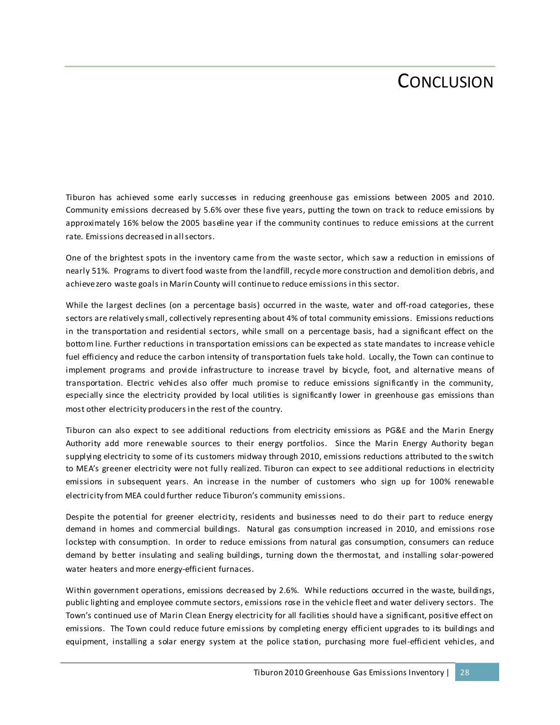## CONCLUSION

Tiburon has achieved some early successes in reducing greenhouse gas emissions between 2005 and 2010. Community emissions decreased by 5.6% over these five years, putting the town on track to reduce emissions by approximately 16% below the 2005 baseline year if the community continues to reduce emissions at the current rate. Emissions decreased in all sectors.

One of the brightest spots in the inventory came from the waste sector, which saw a reduction in emissions of nearly 51%. Programs to divert food waste from the landfill, recycle more construction and demolition debris, and achieve zero waste goals in Marin County will continue to reduce emissions in this sector.

While the largest declines (on a percentage basis) occurred in the waste, water and off-road categories, these sectors are relatively small, collectively representing about 4% of total community emissions. Emissions reductions in the transportation and residential sectors, while small on a percentage basis, had a significant effect on the bottom line. Further reductions in transportation emissions can be expected as state mandates to increase vehicle fuel efficiency and reduce the carbon intensity of transportation fuels take hold. Locally, the Town can continue to implement programs and provide infrastructure to increase travel by bicycle, foot, and alternative means of transportation. Electric vehicles also offer much promise to reduce emissions significantly in the community, especially since the electricity provided by local utilities is significantly lower in greenhouse gas emissions than most other electricity producers in the rest of the country.

Tiburon can also expect to see additional reductions from electricity emissions as PG&E and the Marin Energy Authority add more renewable sources to their energy portfolios. Since the Marin Energy Authority began supplying electricity to some of its customers midway through 2010, emissions reductions attributed to the switch to MEA's greener electricity were not fully realized. Tiburon can expect to see additional reductions in electricity emissions in subsequent years. An increase in the number of customers who sign up for 100% renewable electricity from MEA could further reduce Tiburon's community emissions.

Despite the potential for greener electricity, residents and businesses need to do their part to reduce energy demand in homes and commercial buildings. Natural gas consumption increased in 2010, and emissions rose lockstep with consumption. In order to reduce emissions from natural gas consumption, consumers can reduce demand by better insulating and sealing buildings, turning down the thermostat, and installing solar-powered water heaters and more energy-efficient furnaces.

Within government operations, emissions decreased by 2.6%. While reductions occurred in the waste, buildings, public lighting and employee commute sectors, emissions rose in the vehicle fleet and water delivery sectors. The Town's continued use of Marin Clean Energy electricity for all facilities should have a significant, positive effect on emissions. The Town could reduce future emissions by completing energy efficient upgrades to its buildings and equipment, installing a solar energy system at the police station, purchasing more fuel-efficient vehicles, and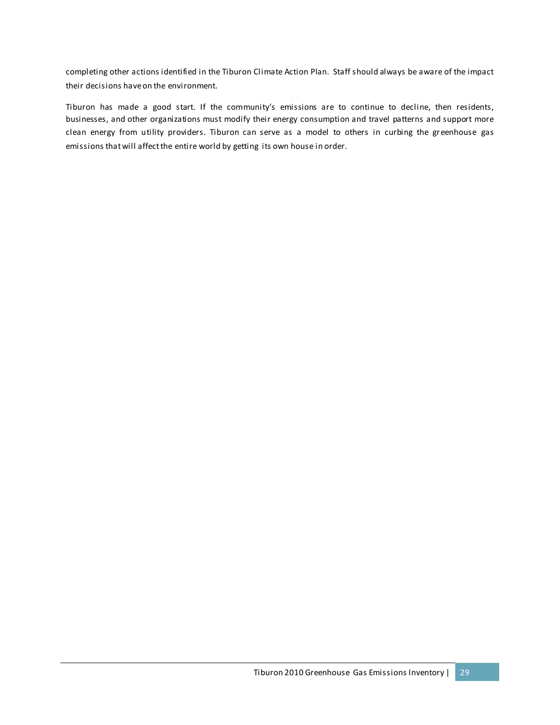completing other actions identified in the Tiburon Climate Action Plan. Staff should always be aware of the impact their decisions have on the environment.

Tiburon has made a good start. If the community's emissions are to continue to decline, then residents, businesses, and other organizations must modify their energy consumption and travel patterns and support more clean energy from utility providers. Tiburon can serve as a model to others in curbing the greenhouse gas emissions that will affect the entire world by getting its own house in order.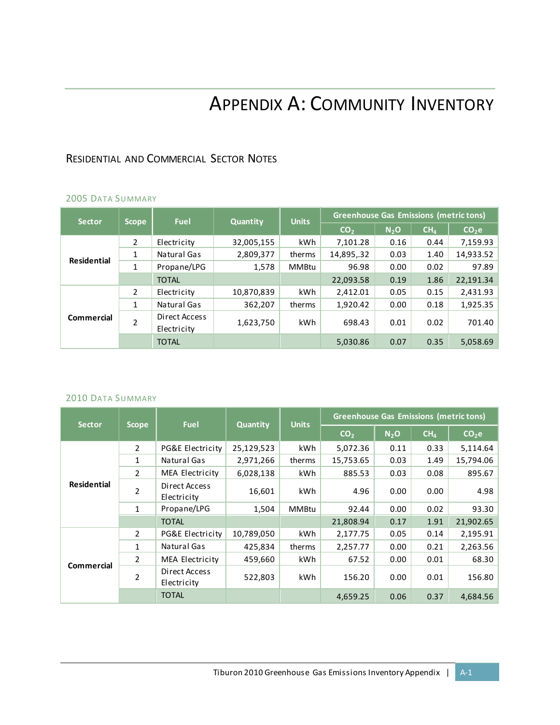## APPENDIX A: COMMUNITY INVENTORY

## RESIDENTIAL AND COMMERCIAL SECTOR NOTES

### 2005 DATA SUMMARY

| <b>Sector</b>      | <b>Scope</b>   | <b>Fuel</b>                  | <b>Quantity</b> | <b>Units</b> | <b>Greenhouse Gas Emissions (metric tons)</b> |                  |                 |                   |  |
|--------------------|----------------|------------------------------|-----------------|--------------|-----------------------------------------------|------------------|-----------------|-------------------|--|
|                    |                |                              |                 |              | CO <sub>2</sub>                               | N <sub>2</sub> O | CH <sub>4</sub> | CO <sub>2</sub> e |  |
|                    | $\overline{2}$ | Electricity                  | 32,005,155      | kWh          | 7,101.28                                      | 0.16             | 0.44            | 7,159.93          |  |
|                    | 1              | Natural Gas                  | 2,809,377       | therms       | 14,895,.32                                    | 0.03             | 1.40            | 14,933.52         |  |
| <b>Residential</b> | 1              | Propane/LPG                  | 1,578           | MMBtu        | 96.98                                         | 0.00             | 0.02            | 97.89             |  |
|                    |                | <b>TOTAL</b>                 |                 |              | 22,093.58                                     | 0.19             | 1.86            | 22,191.34         |  |
|                    | 2              | Electricity                  | 10,870,839      | kWh          | 2,412.01                                      | 0.05             | 0.15            | 2,431.93          |  |
|                    | 1              | Natural Gas                  | 362,207         | therms       | 1,920.42                                      | 0.00             | 0.18            | 1,925.35          |  |
| Commercial         | $\overline{2}$ | Direct Access<br>Electricity | 1,623,750       | kWh          | 698.43                                        | 0.01             | 0.02            | 701.40            |  |
|                    |                | <b>TOTAL</b>                 |                 |              | 5,030.86                                      | 0.07             | 0.35            | 5,058.69          |  |

#### 2010 DATA SUMMARY

| <b>Sector</b>      |                | <b>Fuel</b>                  | Quantity   | <b>Units</b> | <b>Greenhouse Gas Emissions (metric tons)</b> |         |                 |                   |
|--------------------|----------------|------------------------------|------------|--------------|-----------------------------------------------|---------|-----------------|-------------------|
|                    | <b>Scope</b>   |                              |            |              | CO <sub>2</sub>                               | $N_2$ O | CH <sub>4</sub> | CO <sub>2</sub> e |
|                    | $\overline{2}$ | PG&E Electricity             | 25,129,523 | kWh.         | 5,072.36                                      | 0.11    | 0.33            | 5,114.64          |
|                    | $\mathbf{1}$   | Natural Gas                  | 2,971,266  | therms       | 15,753.65                                     | 0.03    | 1.49            | 15,794.06         |
|                    | $\overline{2}$ | MEA Electricity              | 6,028,138  | kWh          | 885.53                                        | 0.03    | 0.08            | 895.67            |
| <b>Residential</b> | $\overline{2}$ | Direct Access<br>Electricity | 16,601     | kWh          | 4.96                                          | 0.00    | 0.00            | 4.98              |
|                    | $\mathbf{1}$   | Propane/LPG                  | 1,504      | <b>MMBtu</b> | 92.44                                         | 0.00    | 0.02            | 93.30             |
|                    |                | <b>TOTAL</b>                 |            |              | 21,808.94                                     | 0.17    | 1.91            | 21,902.65         |
|                    | $\mathcal{P}$  | PG&E Electricity             | 10,789,050 | kWh          | 2,177.75                                      | 0.05    | 0.14            | 2,195.91          |
|                    | 1              | Natural Gas                  | 425,834    | therms       | 2,257.77                                      | 0.00    | 0.21            | 2,263.56          |
|                    | $\overline{2}$ | MEA Electricity              | 459,660    | kWh          | 67.52                                         | 0.00    | 0.01            | 68.30             |
| Commercial         | $\overline{2}$ | Direct Access<br>Electricity | 522,803    | kWh          | 156.20                                        | 0.00    | 0.01            | 156.80            |
|                    |                | <b>TOTAL</b>                 |            |              | 4,659.25                                      | 0.06    | 0.37            | 4,684.56          |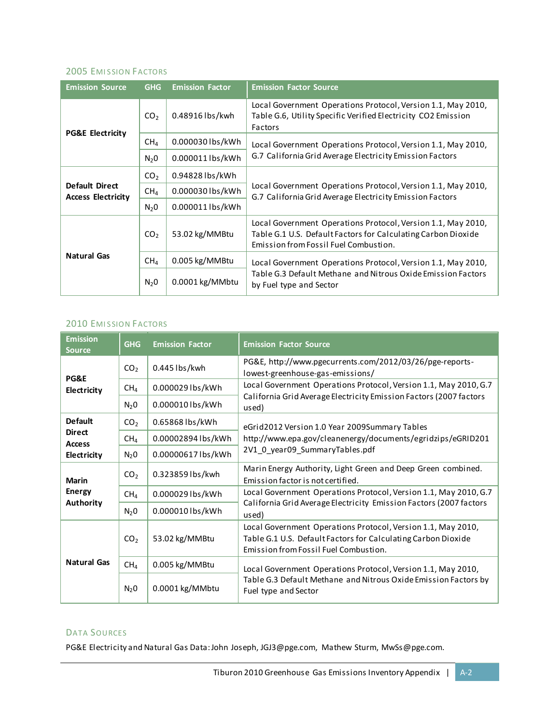#### **2005 EMISSION FACTORS**

| <b>Emission Source</b>                             | <b>GHG</b>       | <b>Emission Factor</b> | <b>Emission Factor Source</b>                                                                                                                                          |  |  |  |
|----------------------------------------------------|------------------|------------------------|------------------------------------------------------------------------------------------------------------------------------------------------------------------------|--|--|--|
|                                                    | CO <sub>2</sub>  | 0.48916 lbs/kwh        | Local Government Operations Protocol, Version 1.1, May 2010,<br>Table G.6, Utility Specific Verified Electricity CO2 Emission<br>Factors                               |  |  |  |
| <b>PG&amp;E Electricity</b>                        | CH <sub>4</sub>  | 0.000030 lbs/kWh       | Local Government Operations Protocol, Version 1.1, May 2010,                                                                                                           |  |  |  |
|                                                    | N <sub>2</sub> 0 | 0.000011 lbs/kWh       | G.7 California Grid Average Electricity Emission Factors                                                                                                               |  |  |  |
| <b>Default Direct</b><br><b>Access Electricity</b> | CO <sub>2</sub>  | 0.94828 lbs/kWh        |                                                                                                                                                                        |  |  |  |
|                                                    | CH <sub>4</sub>  | 0.000030 lbs/kWh       | Local Government Operations Protocol, Version 1.1, May 2010,<br>G.7 California Grid Average Electricity Emission Factors                                               |  |  |  |
|                                                    | $N_2$ 0          | 0.000011 lbs/kWh       |                                                                                                                                                                        |  |  |  |
|                                                    | CO <sub>2</sub>  | 53.02 kg/MMBtu         | Local Government Operations Protocol, Version 1.1, May 2010,<br>Table G.1 U.S. Default Factors for Calculating Carbon Dioxide<br>Emission from Fossil Fuel Combustion. |  |  |  |
| <b>Natural Gas</b>                                 | CH <sub>4</sub>  | 0.005 kg/MMBtu         | Local Government Operations Protocol, Version 1.1, May 2010,                                                                                                           |  |  |  |
|                                                    | N <sub>2</sub> 0 | 0.0001 kg/MMbtu        | Table G.3 Default Methane and Nitrous Oxide Emission Factors<br>by Fuel type and Sector                                                                                |  |  |  |

#### **2010 EMISSION FACTORS**

| <b>Emission</b><br><b>Source</b> | <b>GHG</b>         | <b>Emission Factor</b> | <b>Emission Factor Source</b>                                                                                                                                          |
|----------------------------------|--------------------|------------------------|------------------------------------------------------------------------------------------------------------------------------------------------------------------------|
| PG&E                             | CO <sub>2</sub>    | $0.445$ lbs/kwh        | PG&E, http://www.pgecurrents.com/2012/03/26/pge-reports-<br>lowest-greenhouse-gas-emissions/                                                                           |
| Electricity                      | CH <sub>4</sub>    | 0.000029 lbs/kWh       | Local Government Operations Protocol, Version 1.1, May 2010, G.7                                                                                                       |
|                                  | $N_2$ <sup>O</sup> | 0.000010 lbs/kWh       | California Grid Average Electricity Emission Factors (2007 factors<br>used)                                                                                            |
| <b>Default</b>                   | CO <sub>2</sub>    | 0.65868 lbs/kWh        | eGrid2012 Version 1.0 Year 2009Summary Tables                                                                                                                          |
| <b>Direct</b><br><b>Access</b>   | CH <sub>4</sub>    | 0.00002894 lbs/kWh     | http://www.epa.gov/cleanenergy/documents/egridzips/eGRID201                                                                                                            |
| Electricity                      | $N_2$ 0            | 0.00000617 lbs/kWh     | 2V1_0_year09_SummaryTables.pdf                                                                                                                                         |
| <b>Marin</b>                     | CO <sub>2</sub>    | 0.323859 lbs/kwh       | Marin Energy Authority, Light Green and Deep Green combined.<br>Emission factor is not certified.                                                                      |
| <b>Energy</b>                    | CH <sub>4</sub>    | 0.000029 lbs/kWh       | Local Government Operations Protocol, Version 1.1, May 2010, G.7                                                                                                       |
| <b>Authority</b>                 | $N_2$ <sup>O</sup> | 0.000010 lbs/kWh       | California Grid Average Electricity Emission Factors (2007 factors<br>used)                                                                                            |
|                                  | CO <sub>2</sub>    | 53.02 kg/MMBtu         | Local Government Operations Protocol, Version 1.1, May 2010,<br>Table G.1 U.S. Default Factors for Calculating Carbon Dioxide<br>Emission from Fossil Fuel Combustion. |
| <b>Natural Gas</b>               | CH <sub>4</sub>    | 0.005 kg/MMBtu         | Local Government Operations Protocol, Version 1.1, May 2010,                                                                                                           |
|                                  | $N_2$ 0            | 0.0001 kg/MMbtu        | Table G.3 Default Methane and Nitrous Oxide Emission Factors by<br>Fuel type and Sector                                                                                |

#### DATA SOURCES

PG&E Electricity and Natural Gas Data: John Joseph, JGJ3@pge.com, Mathew Sturm, MwSs@pge.com.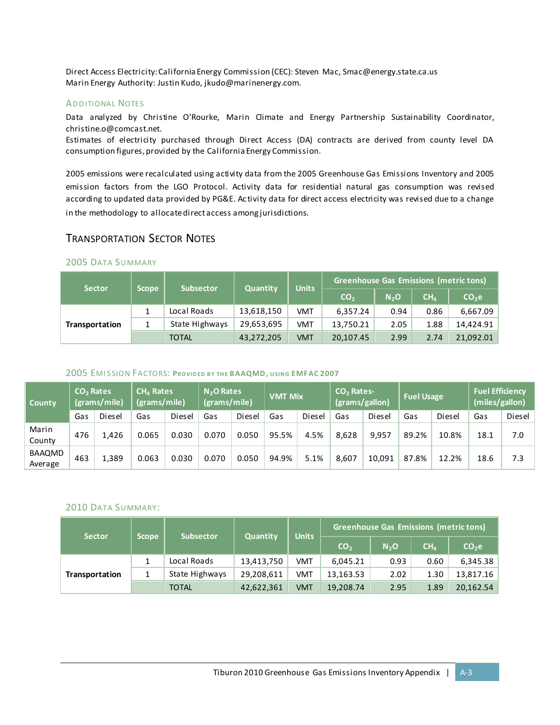Direct Access Electricity: California Energy Commission (CEC): Steven Mac, Smac@energy.state.ca.us Marin Energy Authority: Justin Kudo, jkudo@marinenergy.com.

#### **ADDITIONAL NOTES**

Data analyzed by Christine O'Rourke, Marin Climate and Energy Partnership Sustainability Coordinator, christine.o@comcast.net.

Estimates of electricity purchased through Direct Access (DA) contracts are derived from county level DA consumption figures, provided by the California Energy Commission.

2005 emissions were recalculated using activity data from the 2005 Greenhouse Gas Emissions Inventory and 2005 emission factors from the LGO Protocol. Activity data for residential natural gas consumption was revised according to updated data provided by PG&E. Ac tivity data for direct access electricity was revised due to a change in the methodology to allocate direct access among jurisdictions.

### TRANSPORTATION SECTOR NOTES

## 2005 DATA SUMMARY

| <b>Sector</b>         | <b>Scope</b> | <b>Subsector</b> | <b>Quantity</b> | <b>Units</b> | <b>Greenhouse Gas Emissions (metric tons)</b> |                  |                 |                   |  |  |
|-----------------------|--------------|------------------|-----------------|--------------|-----------------------------------------------|------------------|-----------------|-------------------|--|--|
|                       |              |                  |                 |              | CO <sub>2</sub>                               | N <sub>2</sub> O | CH <sub>A</sub> | CO <sub>2</sub> e |  |  |
| <b>Transportation</b> |              | Local Roads      | 13,618,150      | <b>VMT</b>   | 6,357.24                                      | 0.94             | 0.86            | 6.667.09          |  |  |
|                       |              | State Highways   | 29,653,695      | <b>VMT</b>   | 13,750.21                                     | 2.05             | 1.88            | 14,424.91         |  |  |
|                       |              | <b>TOTAL</b>     | 43,272,205      | <b>VMT</b>   | 20,107.45                                     | 2.99             | 2.74            | 21,092.01         |  |  |

#### 2005 EMI SSION FACTORS: **PROVIDED BY THE BAAQMD, USING EMFAC 2007**

| <b>County</b>     | CO <sub>2</sub> Rates<br>(grams/mile) |        | $CH4$ Rates<br>(grams/mile) |        | N <sub>2</sub> O Rates<br>(grams/mile) |        | <b>VMT Mix</b> |        | CO <sub>2</sub> Rates-<br>(grams/gallon) |        | <b>Fuel Usage</b> |        | <b>Fuel Efficiency</b><br>(miles/gallon) |        |
|-------------------|---------------------------------------|--------|-----------------------------|--------|----------------------------------------|--------|----------------|--------|------------------------------------------|--------|-------------------|--------|------------------------------------------|--------|
|                   | Gas                                   | Diesel | Gas                         | Diesel | Gas                                    | Diesel | Gas            | Diesel | Gas                                      | Diesel | Gas               | Diesel | Gas                                      | Diesel |
| Marin<br>County   | 476                                   | L.426  | 0.065                       | 0.030  | 0.070                                  | 0.050  | 95.5%          | 4.5%   | 8.628                                    | 9.957  | 89.2%             | 10.8%  | 18.1                                     | 7.0    |
| BAAQMD<br>Average | 463                                   | 1.389  | 0.063                       | 0.030  | 0.070                                  | 0.050  | 94.9%          | 5.1%   | 8.607                                    | 10,091 | 87.8%             | 12.2%  | 18.6                                     | 7.3    |

#### 2010 DATA SUMMARY:

| <b>Sector</b>  | <b>Scope</b> | <b>Subsector</b> | <b>Quantity</b> | <b>Units</b> |                 | Greenhouse Gas Emissions (metric tons) |                 |                   |  |  |
|----------------|--------------|------------------|-----------------|--------------|-----------------|----------------------------------------|-----------------|-------------------|--|--|
|                |              |                  |                 |              | CO <sub>2</sub> | N <sub>2</sub> O                       | CH <sub>A</sub> | CO <sub>2</sub> e |  |  |
| Transportation |              | Local Roads      | 13,413,750      | VMT          | 6,045.21        | 0.93                                   | 0.60            | 6,345.38          |  |  |
|                |              | State Highways   | 29,208,611      | VMT          | 13,163.53       | 2.02                                   | 1.30            | 13,817.16         |  |  |
|                |              | <b>TOTAL</b>     | 42,622,361      | <b>VMT</b>   | 19,208.74       | 2.95                                   | 1.89            | 20,162.54         |  |  |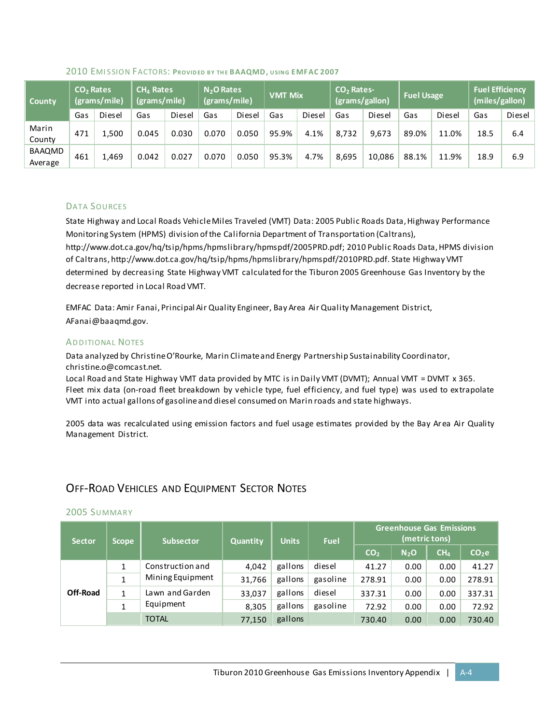| County            | CO <sub>2</sub> Rates<br>(grams/mile) |        | $CH4$ Rates<br>(grams/mile) <sup>†</sup> |        | N <sub>2</sub> O Rates<br>(grams/mile) |        | <b>VMT Mix</b> |        | $CO2$ Rates-<br>(grams/gallon) |        | <b>Fuel Usage</b> |        | <b>Fuel Efficiency</b><br>(miles/gallon) |        |
|-------------------|---------------------------------------|--------|------------------------------------------|--------|----------------------------------------|--------|----------------|--------|--------------------------------|--------|-------------------|--------|------------------------------------------|--------|
|                   | Gas                                   | Diesel | Gas                                      | Diesel | Gas                                    | Diesel | Gas            | Diesel | Gas                            | Diesel | Gas               | Diesel | Gas                                      | Diesel |
| Marin<br>County   | 471                                   | 1.500  | 0.045                                    | 0.030  | 0.070                                  | 0.050  | 95.9%          | 4.1%   | 8,732                          | 9.673  | 89.0%             | 11.0%  | 18.5                                     | 6.4    |
| BAAQMD<br>Average | 461                                   | 1,469  | 0.042                                    | 0.027  | 0.070                                  | 0.050  | 95.3%          | 4.7%   | 8,695                          | 10.086 | 88.1%             | 11.9%  | 18.9                                     | 6.9    |

#### 2010 EMI SSION FACTORS: **PROVIDED BY THE BAAQMD, USING EMFAC 2007**

#### DATA SOURCES

State Highway and Local Roads Vehicle Miles Traveled (VMT) Data: 2005 Public Roads Data, Highway Performance Monitoring System (HPMS) division of the California Department of Transportation (Caltrans), http://www.dot.ca.gov/hq/tsip/hpms/hpmslibrary/hpmspdf/2005PRD.pdf; 2010 Public Roads Data, HPMS division of Caltrans, http://www.dot.ca.gov/hq/tsip/hpms/hpmslibrary/hpmspdf/2010PRD.pdf. State Highway VMT determined by decreasing State Highway VMT calculated for the Tiburon 2005 Greenhouse Gas Inventory by the decrease reported in Local Road VMT.

EMFAC Data: Amir Fanai, Principal Air Quality Engineer, Bay Area Air Quality Management District, AFanai@baaqmd.gov.

#### **ADDITIONAL NOTES**

Data analyzed by Christine O'Rourke, Marin Climate and Energy Partnership Sustainability Coordinator, christine.o@comcast.net.

Local Road and State Highway VMT data provided by MTC is in Daily VMT (DVMT); Annual VMT = DVMT x 365. Fleet mix data (on-road fleet breakdown by vehicle type, fuel efficiency, and fuel type) was used to extrapolate VMT into actual gallons of gasoline and diesel consumed on Marin roads and state highways.

2005 data was recalculated using emission factors and fuel usage estimates provided by the Bay Area Air Quality Management District.

### OFF-ROAD VEHICLES AND EQUIPMENT SECTOR NOTES

#### 2005 SUMMARY

| <b>Sector</b> | <b>Scope</b> | <b>Subsector</b>                     | Quantity | <b>Units</b> | Fuel     |                 | (metric tons)    | <b>Greenhouse Gas Emissions</b> |                   |  |
|---------------|--------------|--------------------------------------|----------|--------------|----------|-----------------|------------------|---------------------------------|-------------------|--|
|               |              |                                      |          |              |          | CO <sub>2</sub> | N <sub>2</sub> O | CH <sub>4</sub>                 | CO <sub>2</sub> e |  |
|               | 1            | Construction and<br>Mining Equipment | 4.042    | gallons      | diesel   | 41.27           | 0.00             | 0.00                            | 41.27             |  |
|               |              |                                      | 31,766   | gallons      | gasoline | 278.91          | 0.00             | 0.00                            | 278.91            |  |
| Off-Road      | 1            | Lawn and Garden                      | 33,037   | gallons      | diesel   | 337.31          | 0.00             | 0.00                            | 337.31            |  |
|               | 1            | Equipment                            | 8,305    | gallons      | gasoline | 72.92           | 0.00             | 0.00                            | 72.92             |  |
|               |              | <b>TOTAL</b>                         | 77,150   | gallons      |          | 730.40          | 0.00             | 0.00                            | 730.40            |  |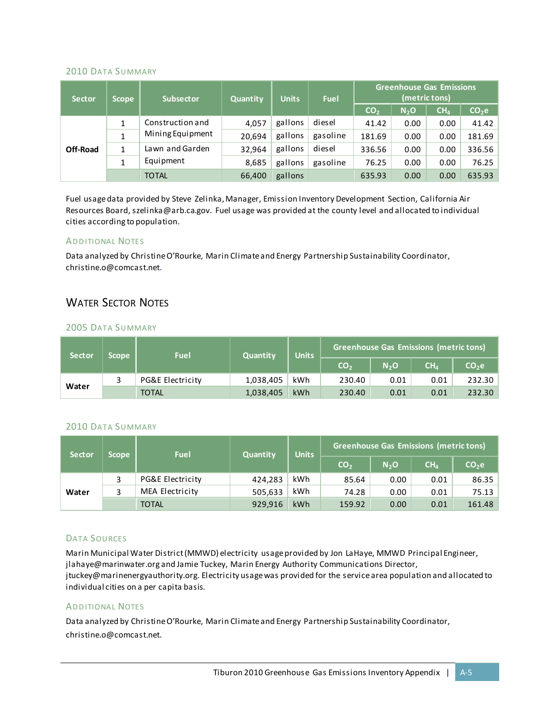#### 2010 DATA SUMMARY

| <b>Sector</b>   | <b>Scope</b> | <b>Subsector</b> | Quantity | <b>Units</b> | Fuel     |                 | <b>Greenhouse Gas Emissions</b><br>(metric tons) |                 |                   |  |
|-----------------|--------------|------------------|----------|--------------|----------|-----------------|--------------------------------------------------|-----------------|-------------------|--|
|                 |              |                  |          |              |          | CO <sub>2</sub> | N <sub>2</sub> O                                 | CH <sub>4</sub> | CO <sub>2</sub> e |  |
|                 |              | Construction and | 4.057    | gallons      | diesel   | 41.42           | 0.00                                             | 0.00            | 41.42             |  |
|                 |              | Mining Equipment | 20.694   | gallons      | gasoline | 181.69          | 0.00                                             | 0.00            | 181.69            |  |
| <b>Off-Road</b> | 1            | Lawn and Garden  | 32.964   | gallons      | diesel   | 336.56          | 0.00                                             | 0.00            | 336.56            |  |
|                 | 1            | Equipment        | 8,685    | gallons      | gasoline | 76.25           | 0.00                                             | 0.00            | 76.25             |  |
|                 |              | <b>TOTAL</b>     | 66,400   | gallons      |          | 635.93          | 0.00                                             | 0.00            | 635.93            |  |

Fuel usage data provided by Steve Zelinka, Manager, Emission Inventory Development Section, California Air Resources Board[, szelinka@arb.ca.gov.](mailto:szelinka@arb.ca.gov) Fuel usage was provided at the county level and allocated to individual cities according to population.

#### **ADDITIONAL NOTES**

Data analyzed by Christine O'Rourke, Marin Climate and Energy Partnership Sustainability Coordinator, christine.o@comcast.net.

#### WATER SECTOR NOTES

#### 2005 DATA SUMMARY

| <b>Sector</b> | <b>Scope</b> | <b>Fuel</b>      | <b>Quantity</b> | <b>Units</b> | <b>Greenhouse Gas Emissions (metric tons)</b> |                  |                 |                   |  |  |
|---------------|--------------|------------------|-----------------|--------------|-----------------------------------------------|------------------|-----------------|-------------------|--|--|
|               |              |                  |                 |              | CO <sub>2</sub>                               | N <sub>2</sub> O | CH <sub>4</sub> | CO <sub>2</sub> e |  |  |
| Water         |              | PG&E Electricity | 1,038,405       | kWh          | 230.40                                        | 0.01             | 0.01            | 232.30            |  |  |
|               |              | <b>TOTAL</b>     | 1,038,405       | kWh          | 230.40                                        | 0.01             | 0.01            | 232.30            |  |  |

#### 2010 DATA SUMMARY

| <b>Sector</b> | 'Scope ; | <b>Fuel</b>      | <b>Quantity</b> | <b>Units</b> |                 | Greenhouse Gas Emissions (metric tons) |                 |                   |  |  |
|---------------|----------|------------------|-----------------|--------------|-----------------|----------------------------------------|-----------------|-------------------|--|--|
|               |          |                  |                 |              | CO <sub>2</sub> | N <sub>2</sub> O                       | CH <sub>4</sub> | CO <sub>2</sub> e |  |  |
| Water         |          | PG&E Electricity | 424.283         | kWh          | 85.64           | 0.00                                   | 0.01            | 86.35             |  |  |
|               |          | MEA Electricity  | 505,633         | kWh          | 74.28           | 0.00                                   | 0.01            | 75.13             |  |  |
|               |          | <b>TOTAL</b>     | 929,916         | kWh          | 159.92          | 0.00                                   | 0.01            | 161.48            |  |  |

#### DATA SOURCES

Marin Municipal Water District (MMWD) electricity usage provided by Jon LaHaye, MMWD Principal Engineer, jlahaye@marinwater.org and Jamie Tuckey, Marin Energy Authority Communications Director, jtuckey@marinenergyauthority.org. Electricity usage was provided for the service area population and allocated to individual cities on a per capita basis.

#### **ADDITIONAL NOTES**

Data analyzed by Christine O'Rourke, Marin Climate and Energy Partnership Sustainability Coordinator, christine.o@comcast.net.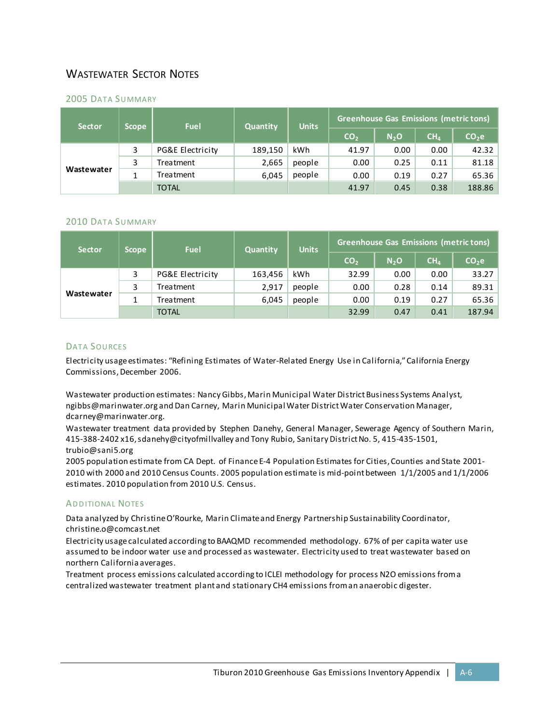## WASTEWATER SECTOR NOTES

#### 2005 DATA SUMMARY

| <b>Sector</b> | <b>Scope</b> | <b>Fuel</b>      | <b>Quantity</b> | <b>Units</b> | <b>Greenhouse Gas Emissions (metric tons)</b> |                  |                 |                   |  |  |
|---------------|--------------|------------------|-----------------|--------------|-----------------------------------------------|------------------|-----------------|-------------------|--|--|
|               |              |                  |                 |              | CO <sub>2</sub>                               | N <sub>2</sub> O | CH <sub>4</sub> | CO <sub>2</sub> e |  |  |
| Wastewater    | 3            | PG&E Electricity | 189,150         | kWh          | 41.97                                         | 0.00             | 0.00            | 42.32             |  |  |
|               |              | Treatment        | 2,665           | people       | 0.00                                          | 0.25             | 0.11            | 81.18             |  |  |
|               |              | Treatment        | 6.045           | people       | 0.00                                          | 0.19             | 0.27            | 65.36             |  |  |
|               |              | <b>TOTAL</b>     |                 |              | 41.97                                         | 0.45             | 0.38            | 188.86            |  |  |

#### 2010 DATA SUMMARY

| <b>Sector</b> | Scope, | <b>Fuel</b>      | Quantity | <b>Units</b> | <b>Greenhouse Gas Emissions (metric tons)</b> |                  |                 |                   |  |  |
|---------------|--------|------------------|----------|--------------|-----------------------------------------------|------------------|-----------------|-------------------|--|--|
|               |        |                  |          |              | CO <sub>2</sub>                               | N <sub>2</sub> O | CH <sub>4</sub> | CO <sub>2</sub> e |  |  |
| Wastewater    | 3      | PG&E Electricity | 163,456  | kWh          | 32.99                                         | 0.00             | 0.00            | 33.27             |  |  |
|               |        | Treatment        | 2.917    | people       | 0.00                                          | 0.28             | 0.14            | 89.31             |  |  |
|               |        | Treatment        | 6,045    | people       | 0.00                                          | 0.19             | 0.27            | 65.36             |  |  |
|               |        | <b>TOTAL</b>     |          |              | 32.99                                         | 0.47             | 0.41            | 187.94            |  |  |

#### DATA SOURCES

Electricity usage estimates: "Refining Estimates of Water-Related Energy Use in California," California Energy Commissions, December 2006.

Wastewater production estimates: Nancy Gibbs, Marin Municipal Water District Business Systems Analyst, [ngibbs@marinwater.org](mailto:ngibbs@marinwater.org) and Dan Carney, Marin Municipal Water District Water Conservation Manager, [dcarney@marinwater.org.](mailto:dcarney@marinwater.org)

Wastewater treatment data provided by Stephen Danehy, General Manager, Sewerage Agency of Southern Marin, 415-388-2402 x16, sdanehy@cityofmillvalley and Tony Rubio, Sanitary District No. 5, 415-435-1501, trubio@sani5.org

2005 population estimate from CA Dept. of Finance E-4 Population Estimates for Cities, Counties and State 2001- 2010 with 2000 and 2010 Census Counts. 2005 population estimate is mid-point between 1/1/2005 and 1/1/2006 estimates. 2010 population from 2010 U.S. Census.

#### **ADDITIONAL NOTES**

Data analyzed by Christine O'Rourke, Marin Climate and Energy Partnership Sustainability Coordinator, [christine.o@comcast.net](mailto:christine.o@comcast.net)

Electricity usage calculated according to BAAQMD recommended methodology. 67% of per capita water use assumed to be indoor water use and processed as wastewater. Electricity used to treat wastewater based on northern California averages.

Treatment process emissions calculated according to ICLEI methodology for process N2O emissions from a centralized wastewater treatment plant and stationary CH4 emissions from an anaerobic digester.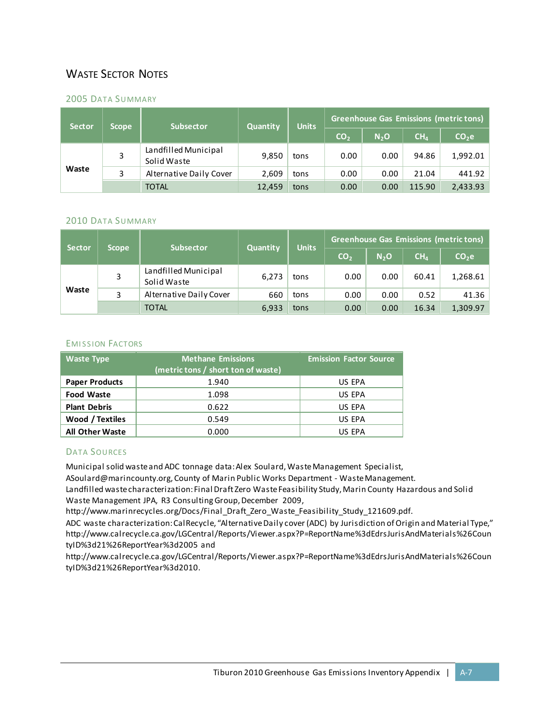## WASTE SECTOR NOTES

#### 2005 DATA SUMMARY

| <b>Sector</b> | <b>Scope</b> | <b>Subsector</b>                    | Quantity | <b>Units</b> | <b>Greenhouse Gas Emissions (metric tons)</b> |                  |                 |                   |
|---------------|--------------|-------------------------------------|----------|--------------|-----------------------------------------------|------------------|-----------------|-------------------|
|               |              |                                     |          |              | CO <sub>2</sub>                               | N <sub>2</sub> O | CH <sub>4</sub> | CO <sub>2</sub> e |
| Waste         | 3            | Landfilled Municipal<br>Solid Waste | 9,850    | tons         | 0.00                                          | 0.00             | 94.86           | 1,992.01          |
|               | 3            | Alternative Daily Cover             | 2.609    | tons         | 0.00                                          | 0.00             | 21.04           | 441.92            |
|               |              | <b>TOTAL</b>                        | 12,459   | tons         | 0.00                                          | 0.00             | 115.90          | 2,433.93          |

#### 2010 DATA SUMMARY

| <b>Sector</b> | <b>Scope</b> | <b>Subsector</b>                    | Quantity | <b>Units</b> | Greenhouse Gas Emissions (metric tons) |                  |                 |                   |
|---------------|--------------|-------------------------------------|----------|--------------|----------------------------------------|------------------|-----------------|-------------------|
|               |              |                                     |          |              | CO <sub>2</sub>                        | N <sub>2</sub> O | CH <sub>4</sub> | CO <sub>2</sub> e |
| Waste         |              | Landfilled Municipal<br>Solid Waste | 6.273    | tons         | 0.00                                   | 0.00             | 60.41           | 1,268.61          |
|               | 3            | Alternative Daily Cover             | 660      | tons         | 0.00                                   | 0.00             | 0.52            | 41.36             |
|               |              | <b>TOTAL</b>                        | 6,933    | tons         | 0.00                                   | 0.00             | 16.34           | 1,309.97          |

#### **EMISSION FACTORS**

| <b>Waste Type</b>      | <b>Methane Emissions</b><br>(metric tons / short ton of waste) |        |  |  |  |
|------------------------|----------------------------------------------------------------|--------|--|--|--|
| <b>Paper Products</b>  | 1.940                                                          | US EPA |  |  |  |
| <b>Food Waste</b>      | 1.098                                                          | US EPA |  |  |  |
| <b>Plant Debris</b>    | 0.622                                                          | US EPA |  |  |  |
| Wood / Textiles        | 0.549                                                          | US EPA |  |  |  |
| <b>All Other Waste</b> | 0.000                                                          | US EPA |  |  |  |

#### DATA SOURCES

Municipal solid waste and ADC tonnage data: Alex Soulard, Waste Management Specialist,

ASoulard@marincounty.org, County of Marin Public Works Department - Waste Management.

Landfilled waste characterization: Final Draft Zero Waste Feasibility Study, Marin County Hazardous and Solid Waste Management JPA, R3 Consulting Group, December 2009,

http://www.marinrecycles.org/Docs/Final\_Draft\_Zero\_Waste\_Feasibility\_Study\_121609.pdf.

ADC waste characterization: CalRecycle, "Alternative Daily cover (ADC) by Jurisdiction of Origin and Material Type," http://www.calrecycle.ca.gov/LGCentral/Reports/Viewer.aspx?P=ReportName%3dEdrsJurisAndMaterials%26Coun tyID%3d21%26ReportYear%3d2005 and

http://www.calrecycle.ca.gov/LGCentral/Reports/Viewer.aspx?P=ReportName%3dEdrsJurisAndMaterials%26Coun tyID%3d21%26ReportYear%3d2010.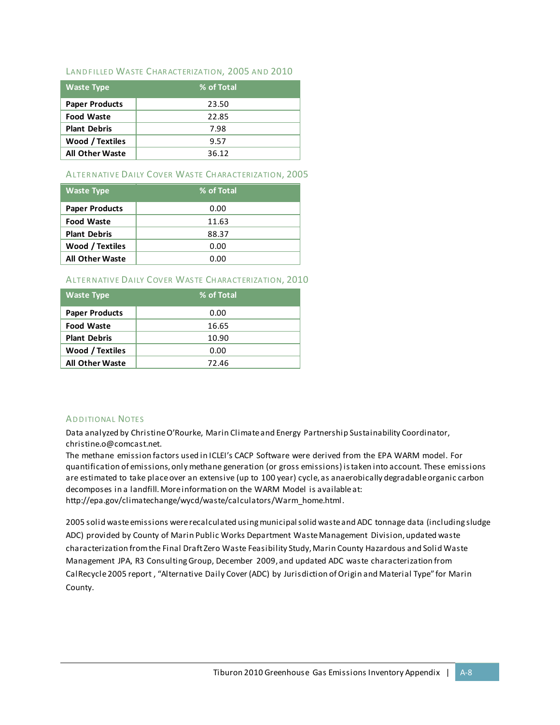#### LAND FILLED WASTE CHARACTERIZATION, 2005 AND 2010

| <b>Waste Type</b>      | % of Total |
|------------------------|------------|
| <b>Paper Products</b>  | 23.50      |
| <b>Food Waste</b>      | 22.85      |
| <b>Plant Debris</b>    | 7.98       |
| Wood / Textiles        | 9.57       |
| <b>All Other Waste</b> | 36.12      |

#### ALTERNATIVE DAILY COVER WASTE CHARACTERIZATION, 2005

| <b>Waste Type</b>      | % of Total |
|------------------------|------------|
| <b>Paper Products</b>  | 0.00       |
| <b>Food Waste</b>      | 11.63      |
| <b>Plant Debris</b>    | 88.37      |
| <b>Wood / Textiles</b> | 0.00       |
| <b>All Other Waste</b> | 0.00       |

#### ALTERNATIVE DAILY COVER WASTE CHARACTERIZATION, 2010

| <b>Waste Type</b>      | % of Total |
|------------------------|------------|
| <b>Paper Products</b>  | 0.00       |
| <b>Food Waste</b>      | 16.65      |
| <b>Plant Debris</b>    | 10.90      |
| <b>Wood / Textiles</b> | 0.00       |
| <b>All Other Waste</b> | 72.46      |

#### **ADDITIONAL NOTES**

Data analyzed by Christine O'Rourke, Marin Climate and Energy Partnership Sustainability Coordinator, christine.o@comcast.net.

The methane emission factors used in ICLEI's CACP Software were derived from the EPA WARM model. For quantification of emissions, only methane generation (or gross emissions) is taken into account. These emissions are estimated to take place over an extensive (up to 100 year) cycle, as anaerobically degradable organic carbon decomposes in a landfill. More information on the WARM Model is available at: http://epa.gov/climatechange/wycd/waste/calculators/Warm\_home.html.

2005 solid waste emissions were recalculated using municipal solid waste and ADC tonnage data (including sludge ADC) provided by County of Marin Public Works Department Waste Management Division, updated waste characterization from the Final Draft Zero Waste Feasibility Study, Marin County Hazardous and Solid Waste Management JPA, R3 Consulting Group, December 2009, and updated ADC waste characterization from CalRecycle2005 report , "Alternative Daily Cover (ADC) by Jurisdiction of Origin and Material Type" for Marin County.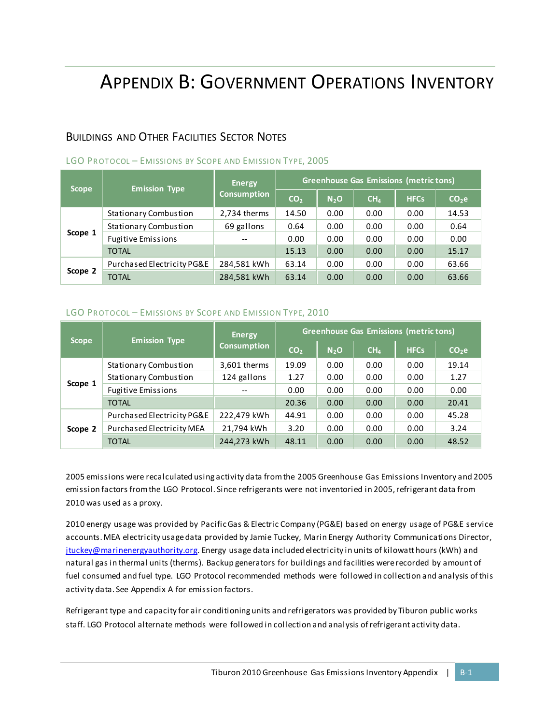## APPENDIX B: GOVERNMENT OPERATIONS INVENTORY

### BUILDINGS AND OTHER FACILITIES SECTOR NOTES

| <b>Scope</b> | <b>Emission Type</b>         | <b>Energy</b>      | <b>Greenhouse Gas Emissions (metric tons)</b> |                  |                 |             |                   |  |
|--------------|------------------------------|--------------------|-----------------------------------------------|------------------|-----------------|-------------|-------------------|--|
|              |                              | <b>Consumption</b> | CO <sub>2</sub>                               | N <sub>2</sub> O | CH <sub>4</sub> | <b>HFCs</b> | CO <sub>2</sub> e |  |
|              | <b>Stationary Combustion</b> | 2,734 therms       | 14.50                                         | 0.00             | 0.00            | 0.00        | 14.53             |  |
|              | <b>Stationary Combustion</b> | 69 gallons         | 0.64                                          | 0.00             | 0.00            | 0.00        | 0.64              |  |
| Scope 1      | <b>Fugitive Emissions</b>    | $-$                | 0.00                                          | 0.00             | 0.00            | 0.00        | 0.00              |  |
|              | <b>TOTAL</b>                 |                    | 15.13                                         | 0.00             | 0.00            | 0.00        | 15.17             |  |
| Scope 2      | Purchased Electricity PG&E   | 284,581 kWh        | 63.14                                         | 0.00             | 0.00            | 0.00        | 63.66             |  |
|              | <b>TOTAL</b>                 | 284,581 kWh        | 63.14                                         | 0.00             | 0.00            | 0.00        | 63.66             |  |

#### LGO PROTOCOL - EMISSIONS BY SCOPE AND EMISSION TYPE, 2005

#### LGO PROTOCOL - EMISSIONS BY SCOPE AND EMISSION TYPE, 2010

| <b>Scope</b> | <b>Emission Type</b>         | <b>Energy</b>      | <b>Greenhouse Gas Emissions (metric tons)</b> |                  |                 |             |                   |  |
|--------------|------------------------------|--------------------|-----------------------------------------------|------------------|-----------------|-------------|-------------------|--|
|              |                              | <b>Consumption</b> | CO <sub>2</sub>                               | N <sub>2</sub> O | CH <sub>4</sub> | <b>HFCs</b> | CO <sub>2</sub> e |  |
|              | <b>Stationary Combustion</b> | 3,601 therms       | 19.09                                         | 0.00             | 0.00            | 0.00        | 19.14             |  |
|              | <b>Stationary Combustion</b> | 124 gallons        | 1.27                                          | 0.00             | 0.00            | 0.00        | 1.27              |  |
| Scope 1      | <b>Fugitive Emissions</b>    | $-$                | 0.00                                          | 0.00             | 0.00            | 0.00        | 0.00              |  |
|              | <b>TOTAL</b>                 |                    | 20.36                                         | 0.00             | 0.00            | 0.00        | 20.41             |  |
|              | Purchased Electricity PG&E   | 222,479 kWh        | 44.91                                         | 0.00             | 0.00            | 0.00        | 45.28             |  |
| Scope 2      | Purchased Electricity MEA    | 21,794 kWh         | 3.20                                          | 0.00             | 0.00            | 0.00        | 3.24              |  |
|              | <b>TOTAL</b>                 | 244,273 kWh        | 48.11                                         | 0.00             | 0.00            | 0.00        | 48.52             |  |

2005 emissions were recalculated using activity data from the 2005 Greenhouse Gas Emissions Inventory and 2005 emission factors from the LGO Protocol. Since refrigerants were not inventoried in 2005, refrigerant data from 2010 was used as a proxy.

2010 energy usage was provided by Pacific Gas & Electric Company (PG&E) based on energy usage of PG&E service accounts. MEA electricity usage data provided by Jamie Tuckey, Marin Energy Authority Communications Director, [jtuckey@marinenergyauthority.org.](mailto:jtuckey@marinenergyauthority.org) Energy usage data included electricity in units of kilowatt hours (kWh) and natural gas in thermal units (therms). Backup generators for buildings and facilities were recorded by amount of fuel consumed and fuel type. LGO Protocol recommended methods were followed in collection and analysis of this activity data. See Appendix A for emission factors.

Refrigerant type and capacity for air conditioning units and refrigerators was provided by Tiburon public works staff. LGO Protocol alternate methods were followed in collection and analysis of refrigerant activity data.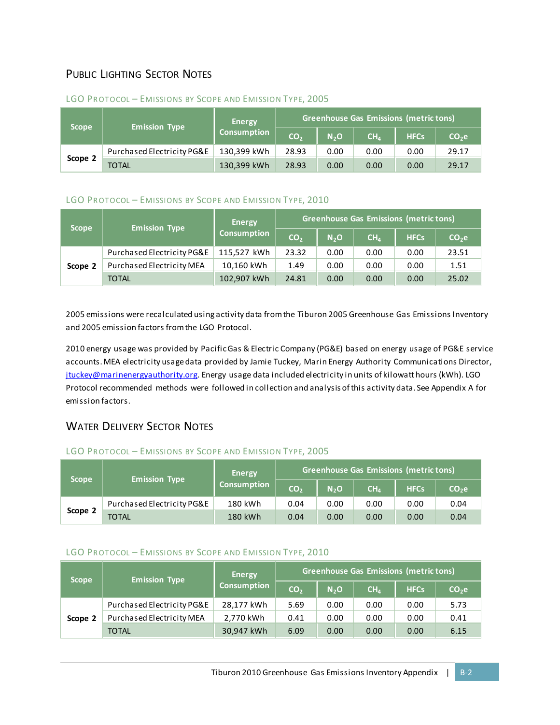## PUBLIC LIGHTING SECTOR NOTES

| <b>Scope</b> | <b>Emission Type</b>       | Energy             |                 | <b>Greenhouse Gas Emissions (metric tons)</b> |                 |             |         |  |  |
|--------------|----------------------------|--------------------|-----------------|-----------------------------------------------|-----------------|-------------|---------|--|--|
|              |                            | <b>Consumption</b> | CO <sub>2</sub> | N <sub>2</sub> O                              | CH <sub>4</sub> | <b>HFCs</b> | $CO2$ e |  |  |
| Scope 2      | Purchased Electricity PG&E | 130.399 kWh        | 28.93           | 0.00                                          | 0.00            | 0.00        | 29.17   |  |  |
|              | <b>TOTAL</b>               | 130,399 kWh        | 28.93           | 0.00                                          | 0.00            | 0.00        | 29.17   |  |  |

#### LGO PROTOCOL - EMISSIONS BY SCOPE AND EMISSION TYPE, 2005

#### LGO PROTOCOL - EMISSIONS BY SCOPE AND EMISSION TYPE, 2010

| <b>Scope</b> | <b>Emission Type</b>       | <b>Energy</b>      |                 | <b>Greenhouse Gas Emissions (metric tons)</b> |                 |             |                   |  |  |
|--------------|----------------------------|--------------------|-----------------|-----------------------------------------------|-----------------|-------------|-------------------|--|--|
|              |                            | <b>Consumption</b> | CO <sub>2</sub> | N <sub>2</sub> O                              | CH <sub>4</sub> | <b>HFCs</b> | CO <sub>2</sub> e |  |  |
|              | Purchased Electricity PG&E | 115,527 kWh        | 23.32           | 0.00                                          | 0.00            | 0.00        | 23.51             |  |  |
| Scope 2      | Purchased Electricity MEA  | 10,160 kWh         | 1.49            | 0.00                                          | 0.00            | 0.00        | 1.51              |  |  |
|              | <b>TOTAL</b>               | 102,907 kWh        | 24.81           | 0.00                                          | 0.00            | 0.00        | 25.02             |  |  |

2005 emissions were recalculated using activity data from the Tiburon 2005 Greenhouse Gas Emissions Inventory and 2005 emission factors from the LGO Protocol.

2010 energy usage was provided by Pacific Gas & Electric Company (PG&E) based on energy usage of PG&E service accounts. MEA electricity usage data provided by Jamie Tuckey, Marin Energy Authority Communications Director, [jtuckey@marinenergyauthority.org.](mailto:jtuckey@marinenergyauthority.org) Energy usage data included electricity in units of kilowatt hours (kWh). LGO Protocol recommended methods were followed in collection and analysis of this activity data. See Appendix A for emission factors.

### WATER DELIVERY SECTOR NOTES

#### LGO PROTOCOL - EMISSIONS BY SCOPE AND EMISSION TYPE, 2005

| <b>Scope</b> | <b>Emission Type</b>       | <b>Energy</b>      | <b>Greenhouse Gas Emissions (metric tons)</b> |                  |                 |             |                   |  |
|--------------|----------------------------|--------------------|-----------------------------------------------|------------------|-----------------|-------------|-------------------|--|
|              |                            | <b>Consumption</b> | CO <sub>2</sub>                               | N <sub>2</sub> O | CH <sub>4</sub> | <b>HFCs</b> | CO <sub>2</sub> e |  |
| Scope 2      | Purchased Electricity PG&E | 180 kWh            | 0.04                                          | 0.00             | 0.00            | 0.00        | 0.04              |  |
|              | <b>TOTAL</b>               | 180 kWh            | 0.04                                          | 0.00             | 0.00            | 0.00        | 0.04              |  |

#### LGO PROTOCOL - EMISSIONS BY SCOPE AND EMISSION TYPE, 2010

| <b>Scope</b> | <b>Emission Type</b>       | Energy             | <b>Greenhouse Gas Emissions (metric tons)</b> |                  |                 |             |                   |
|--------------|----------------------------|--------------------|-----------------------------------------------|------------------|-----------------|-------------|-------------------|
|              |                            | <b>Consumption</b> | CO <sub>2</sub>                               | N <sub>2</sub> O | CH <sub>4</sub> | <b>HFCs</b> | CO <sub>2</sub> e |
| Scope 2      | Purchased Electricity PG&E | 28,177 kWh         | 5.69                                          | 0.00             | 0.00            | 0.00        | 5.73              |
|              | Purchased Electricity MEA  | 2,770 kWh          | 0.41                                          | 0.00             | 0.00            | 0.00        | 0.41              |
|              | TOTAL                      | 30,947 kWh         | 6.09                                          | 0.00             | 0.00            | 0.00        | 6.15              |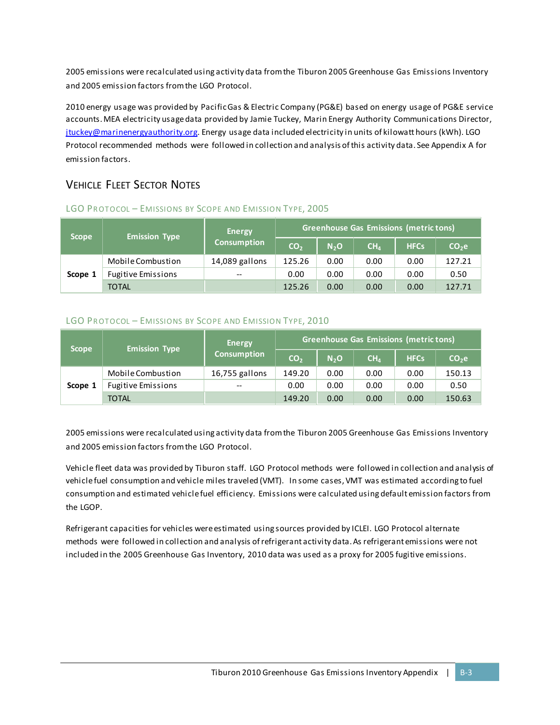2005 emissions were recalculated using activity data from the Tiburon 2005 Greenhouse Gas Emissions Inventory and 2005 emission factors from the LGO Protocol.

2010 energy usage was provided by Pacific Gas & Electric Company (PG&E) based on energy usage of PG&E service accounts. MEA electricity usage data provided by Jamie Tuckey, Marin Energy Authority Communications Director, [jtuckey@marinenergyauthority.org.](mailto:jtuckey@marinenergyauthority.org) Energy usage data included electricity in units of kilowatt hours (kWh). LGO Protocol recommended methods were followed in collection and analysis of this activity data. See Appendix A for emission factors.

## VEHICLE FLEET SECTOR NOTES

| <b>Scope</b> | <b>Emission Type</b>      | <b>Energy</b>      | Greenhouse Gas Emissions (metric tons) |                  |                 |             |                   |  |  |
|--------------|---------------------------|--------------------|----------------------------------------|------------------|-----------------|-------------|-------------------|--|--|
|              |                           | <b>Consumption</b> | CO <sub>2</sub>                        | N <sub>2</sub> O | CH <sub>4</sub> | <b>HFCs</b> | CO <sub>2</sub> e |  |  |
| Scope 1      | Mobile Combustion         | 14,089 gallons     | 125.26                                 | 0.00             | 0.00            | 0.00        | 127.21            |  |  |
|              | <b>Fugitive Emissions</b> | $- -$              | 0.00                                   | 0.00             | 0.00            | 0.00        | 0.50              |  |  |
|              | <b>TOTAL</b>              |                    | 125.26                                 | 0.00             | 0.00            | 0.00        | 127.71            |  |  |

#### LGO PROTOCOL - EMISSIONS BY SCOPE AND EMISSION TYPE, 2005

#### LGO PROTOCOL - EMISSIONS BY SCOPE AND EMISSION TYPE, 2010

| <b>Scope</b> | <b>Emission Type</b>      | <b>Energy</b>      | Greenhouse Gas Emissions (metric tons) |                  |                 |             |                   |  |  |
|--------------|---------------------------|--------------------|----------------------------------------|------------------|-----------------|-------------|-------------------|--|--|
|              |                           | <b>Consumption</b> | CO <sub>2</sub>                        | N <sub>2</sub> O | CH <sub>4</sub> | <b>HFCs</b> | CO <sub>2</sub> e |  |  |
| Scope 1      | Mobile Combustion         | 16,755 gallons     | 149.20                                 | 0.00             | 0.00            | 0.00        | 150.13            |  |  |
|              | <b>Fugitive Emissions</b> | $- -$              | 0.00                                   | 0.00             | 0.00            | 0.00        | 0.50              |  |  |
|              | <b>TOTAL</b>              |                    | 149.20                                 | 0.00             | 0.00            | 0.00        | 150.63            |  |  |

2005 emissions were recalculated using activity data from the Tiburon 2005 Greenhouse Gas Emissions Inventory and 2005 emission factors from the LGO Protocol.

Vehicle fleet data was provided by Tiburon staff. LGO Protocol methods were followed in collection and analysis of vehicle fuel consumption and vehicle miles traveled (VMT). In some cases, VMT was estimated according to fuel consumption and estimated vehicle fuel efficiency. Emissions were calculated using default emission factors from the LGOP.

Refrigerant capacities for vehicles were estimated using sources provided by ICLEI. LGO Protocol alternate methods were followed in collection and analysis of refrigerant activity data. As refrigerant emissions were not included in the 2005 Greenhouse Gas Inventory, 2010 data was used as a proxy for 2005 fugitive emissions.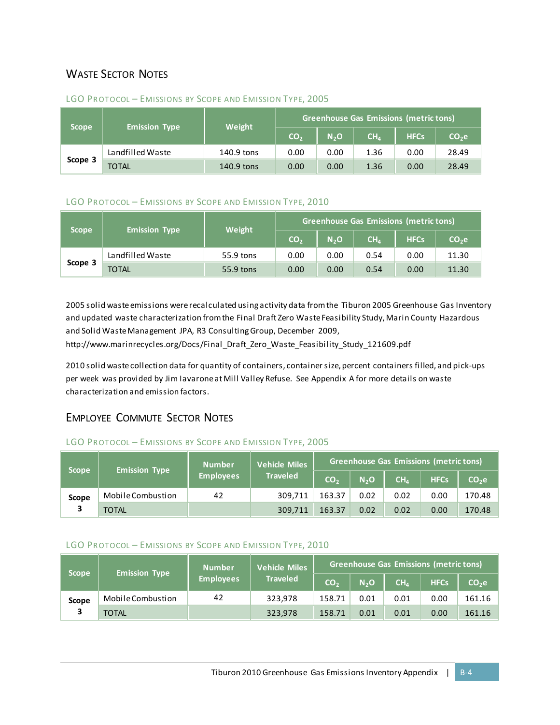## WASTE SECTOR NOTES

| <b>Scope</b> | <b>Emission Type</b>       | Weight     | <b>Greenhouse Gas Emissions (metric tons)</b> |                  |                 |             |                   |  |  |
|--------------|----------------------------|------------|-----------------------------------------------|------------------|-----------------|-------------|-------------------|--|--|
|              |                            |            | CO <sub>2</sub>                               | N <sub>2</sub> O | CH <sub>4</sub> | <b>HFCs</b> | CO <sub>2</sub> e |  |  |
| Scope 3      | Landfilled Waste           | 140.9 tons |                                               | 0.00             | 1.36            | 0.00        | 28.49             |  |  |
|              | <b>TOTAL</b><br>140.9 tons |            | 0.00                                          | 0.00             | 1.36            | 0.00        | 28.49             |  |  |

#### LGO PROTOCOL - EMISSIONS BY SCOPE AND EMISSION TYPE, 2005

#### LGO PROTOCOL - EMISSIONS BY SCOPE AND EMISSION TYPE, 2010

| <b>Scope</b> | <b>Emission Type</b> | Weight    | <b>Greenhouse Gas Emissions (metric tons)</b> |                  |                 |             |                   |  |  |
|--------------|----------------------|-----------|-----------------------------------------------|------------------|-----------------|-------------|-------------------|--|--|
|              |                      |           | CO <sub>2</sub>                               | N <sub>2</sub> O | CH <sub>4</sub> | <b>HFCs</b> | CO <sub>2</sub> e |  |  |
| Scope 3      | Landfilled Waste     | 55.9 tons | 0.00                                          | 0.00             | 0.54            | 0.00        | 11.30             |  |  |
|              | <b>TOTAL</b>         | 55.9 tons | 0.00                                          | 0.00             | 0.54            | 0.00        | 11.30             |  |  |

2005 solid waste emissions were recalculated using activity data from the Tiburon 2005 Greenhouse Gas Inventory and updated waste characterization from the Final Draft Zero Waste Feasibility Study, Marin County Hazardous and Solid Waste Management JPA, R3 Consulting Group, December 2009,

http://www.marinrecycles.org/Docs/Final\_Draft\_Zero\_Waste\_Feasibility\_Study\_121609.pdf

2010 solid waste collection data for quantity of containers, container size, percent containers filled, and pick-ups per week was provided by Jim Iavarone at Mill Valley Refuse. See Appendix A for more details on waste characterization and emission factors.

### EMPLOYEE COMMUTE SECTOR NOTES

#### LGO PROTOCOL - EMISSIONS BY SCOPE AND EMISSION TYPE, 2005

| <b>Scope</b> | <b>Emission Type</b> | <b>Number</b><br><b>Employees</b> | <b>Vehicle Miles</b><br><b>Traveled</b> | <b>Greenhouse Gas Emissions (metric tons)</b> |                  |                 |             |                   |  |
|--------------|----------------------|-----------------------------------|-----------------------------------------|-----------------------------------------------|------------------|-----------------|-------------|-------------------|--|
|              |                      |                                   |                                         | CO <sub>2</sub>                               | N <sub>2</sub> O | CH <sub>4</sub> | <b>HFCs</b> | CO <sub>2</sub> e |  |
| <b>Scope</b> | Mobile Combustion    | 42                                | 309.711                                 | 163.37                                        | 0.02             | 0.02            | 0.00        | 170.48            |  |
|              | TOTAL                |                                   | 309,711                                 | 163.37                                        | 0.02             | 0.02            | 0.00        | 170.48            |  |

#### LGO PROTOCOL - EMISSIONS BY SCOPE AND EMISSION TYPE, 2010

| <b>Scope</b> | <b>Emission Type</b> | <b>Number</b><br><b>Employees</b> | Vehicle Miles<br><b>Traveled</b> | Greenhouse Gas Emissions (metric tons) |                  |                 |             |                   |  |
|--------------|----------------------|-----------------------------------|----------------------------------|----------------------------------------|------------------|-----------------|-------------|-------------------|--|
|              |                      |                                   |                                  | CO <sub>2</sub>                        | N <sub>2</sub> O | CH <sub>4</sub> | <b>HFCs</b> | CO <sub>2</sub> e |  |
| <b>Scope</b> | Mobile Combustion    | 42                                | 323,978                          | 158.71                                 | 0.01             | 0.01            | 0.00        | 161.16            |  |
|              | TOTAL                |                                   | 323,978                          | 158.71                                 | 0.01             | 0.01            | 0.00        | 161.16            |  |